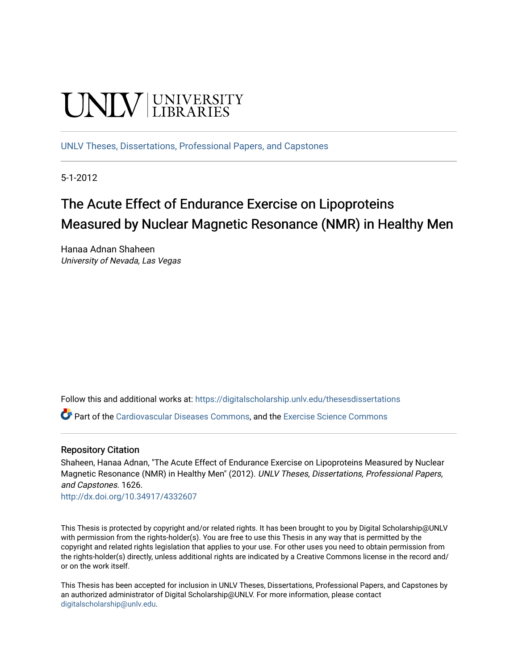# **UNIVERSITY**

[UNLV Theses, Dissertations, Professional Papers, and Capstones](https://digitalscholarship.unlv.edu/thesesdissertations)

5-1-2012

## The Acute Effect of Endurance Exercise on Lipoproteins Measured by Nuclear Magnetic Resonance (NMR) in Healthy Men

Hanaa Adnan Shaheen University of Nevada, Las Vegas

Follow this and additional works at: [https://digitalscholarship.unlv.edu/thesesdissertations](https://digitalscholarship.unlv.edu/thesesdissertations?utm_source=digitalscholarship.unlv.edu%2Fthesesdissertations%2F1626&utm_medium=PDF&utm_campaign=PDFCoverPages)

Part of the [Cardiovascular Diseases Commons](http://network.bepress.com/hgg/discipline/929?utm_source=digitalscholarship.unlv.edu%2Fthesesdissertations%2F1626&utm_medium=PDF&utm_campaign=PDFCoverPages), and the [Exercise Science Commons](http://network.bepress.com/hgg/discipline/1091?utm_source=digitalscholarship.unlv.edu%2Fthesesdissertations%2F1626&utm_medium=PDF&utm_campaign=PDFCoverPages)

#### Repository Citation

Shaheen, Hanaa Adnan, "The Acute Effect of Endurance Exercise on Lipoproteins Measured by Nuclear Magnetic Resonance (NMR) in Healthy Men" (2012). UNLV Theses, Dissertations, Professional Papers, and Capstones. 1626.

<http://dx.doi.org/10.34917/4332607>

This Thesis is protected by copyright and/or related rights. It has been brought to you by Digital Scholarship@UNLV with permission from the rights-holder(s). You are free to use this Thesis in any way that is permitted by the copyright and related rights legislation that applies to your use. For other uses you need to obtain permission from the rights-holder(s) directly, unless additional rights are indicated by a Creative Commons license in the record and/ or on the work itself.

This Thesis has been accepted for inclusion in UNLV Theses, Dissertations, Professional Papers, and Capstones by an authorized administrator of Digital Scholarship@UNLV. For more information, please contact [digitalscholarship@unlv.edu](mailto:digitalscholarship@unlv.edu).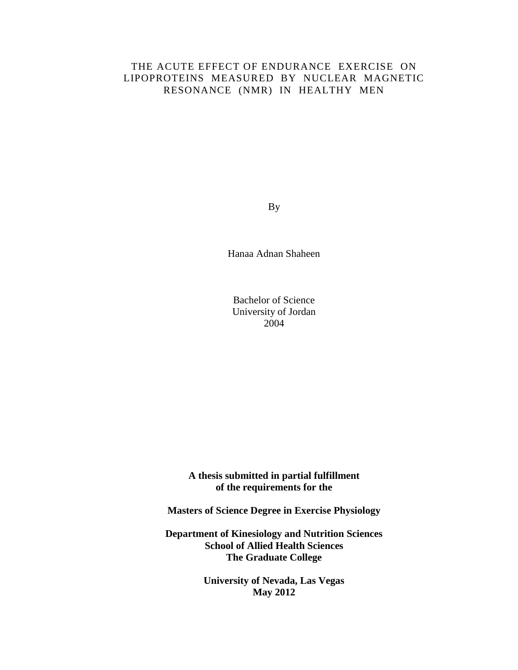## THE ACUTE EFFECT OF ENDURANCE EXERCISE ON LIPOPROTEINS MEASURED BY NUCLEAR MAGNETIC RESONANCE (NMR) IN HEALTHY MEN

By

Hanaa Adnan Shaheen

Bachelor of Science University of Jordan 2004

**A thesis submitted in partial fulfillment of the requirements for the**

**Masters of Science Degree in Exercise Physiology**

**Department of Kinesiology and Nutrition Sciences School of Allied Health Sciences The Graduate College**

> **University of Nevada, Las Vegas May 2012**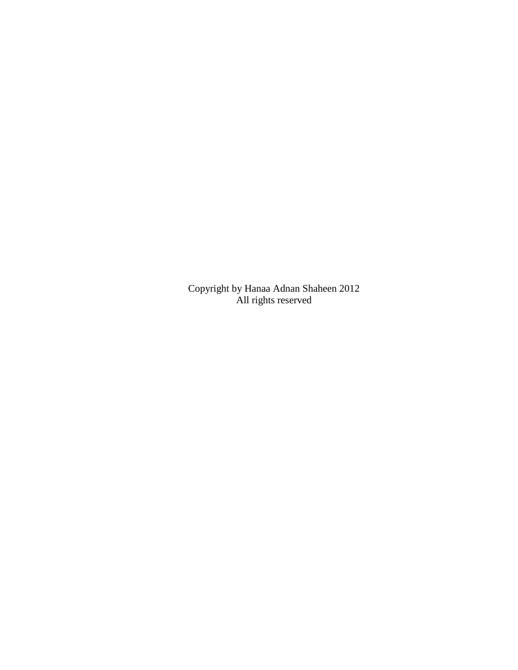Copyright by Hanaa Adnan Shaheen 2012 All rights reserved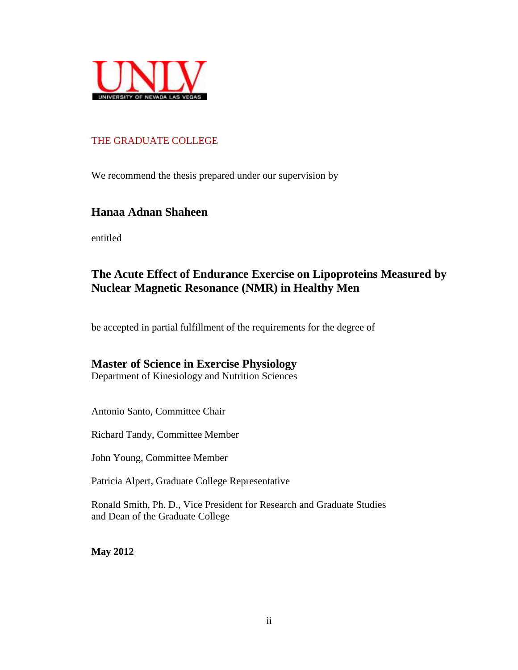

## THE GRADUATE COLLEGE

We recommend the thesis prepared under our supervision by

## **Hanaa Adnan Shaheen**

entitled

## **The Acute Effect of Endurance Exercise on Lipoproteins Measured by Nuclear Magnetic Resonance (NMR) in Healthy Men**

be accepted in partial fulfillment of the requirements for the degree of

## **Master of Science in Exercise Physiology**

Department of Kinesiology and Nutrition Sciences

Antonio Santo, Committee Chair

Richard Tandy, Committee Member

John Young, Committee Member

Patricia Alpert, Graduate College Representative

Ronald Smith, Ph. D., Vice President for Research and Graduate Studies and Dean of the Graduate College

**May 2012**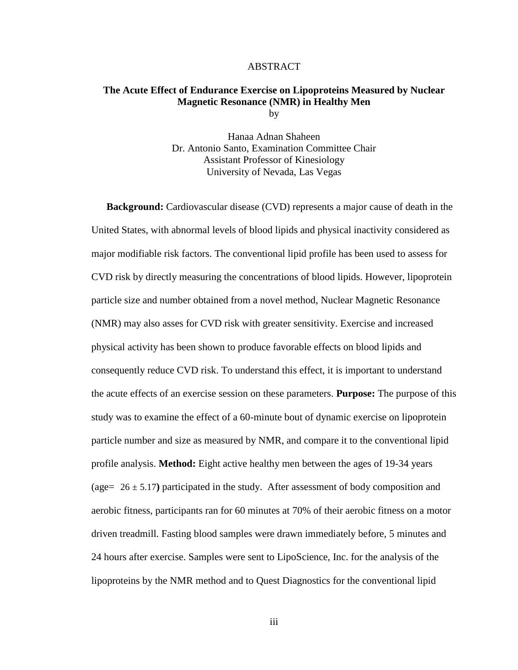#### ABSTRACT

## **The Acute Effect of Endurance Exercise on Lipoproteins Measured by Nuclear Magnetic Resonance (NMR) in Healthy Men**

by

Hanaa Adnan Shaheen Dr. Antonio Santo, Examination Committee Chair Assistant Professor of Kinesiology University of Nevada, Las Vegas

**Background:** Cardiovascular disease (CVD) represents a major cause of death in the United States, with abnormal levels of blood lipids and physical inactivity considered as major modifiable risk factors. The conventional lipid profile has been used to assess for CVD risk by directly measuring the concentrations of blood lipids. However, lipoprotein particle size and number obtained from a novel method, Nuclear Magnetic Resonance (NMR) may also asses for CVD risk with greater sensitivity. Exercise and increased physical activity has been shown to produce favorable effects on blood lipids and consequently reduce CVD risk. To understand this effect, it is important to understand the acute effects of an exercise session on these parameters. **Purpose:** The purpose of this study was to examine the effect of a 60-minute bout of dynamic exercise on lipoprotein particle number and size as measured by NMR, and compare it to the conventional lipid profile analysis. **Method:** Eight active healthy men between the ages of 19-34 years (age= 26 ± 5.17**)** participated in the study. After assessment of body composition and aerobic fitness, participants ran for 60 minutes at 70% of their aerobic fitness on a motor driven treadmill. Fasting blood samples were drawn immediately before, 5 minutes and 24 hours after exercise. Samples were sent to LipoScience, Inc. for the analysis of the lipoproteins by the NMR method and to Quest Diagnostics for the conventional lipid

iii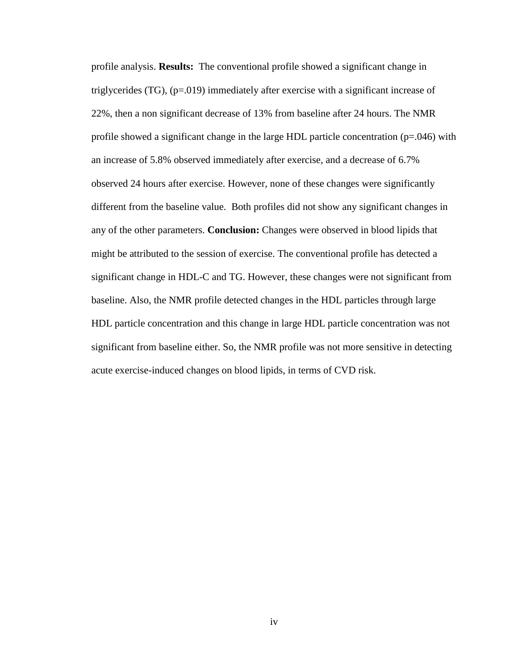profile analysis. **Results:** The conventional profile showed a significant change in triglycerides (TG), (p=.019) immediately after exercise with a significant increase of 22%, then a non significant decrease of 13% from baseline after 24 hours. The NMR profile showed a significant change in the large HDL particle concentration ( $p=0.046$ ) with an increase of 5.8% observed immediately after exercise, and a decrease of 6.7% observed 24 hours after exercise. However, none of these changes were significantly different from the baseline value. Both profiles did not show any significant changes in any of the other parameters. **Conclusion:** Changes were observed in blood lipids that might be attributed to the session of exercise. The conventional profile has detected a significant change in HDL-C and TG. However, these changes were not significant from baseline. Also, the NMR profile detected changes in the HDL particles through large HDL particle concentration and this change in large HDL particle concentration was not significant from baseline either. So, the NMR profile was not more sensitive in detecting acute exercise-induced changes on blood lipids, in terms of CVD risk.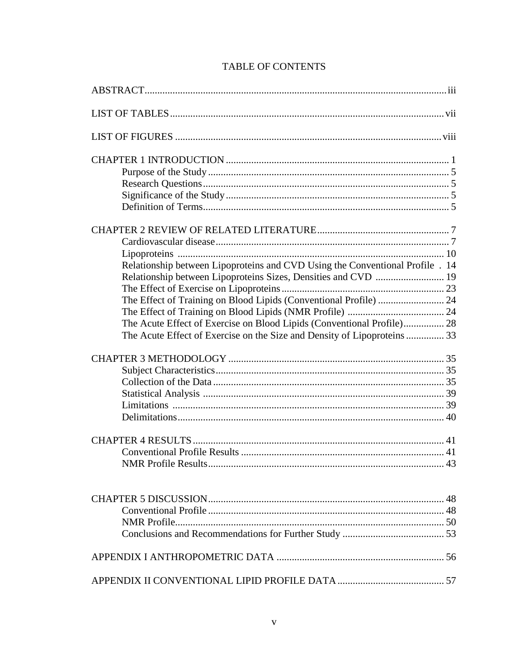| Relationship between Lipoproteins and CVD Using the Conventional Profile . 14 |  |
|-------------------------------------------------------------------------------|--|
| Relationship between Lipoproteins Sizes, Densities and CVD  19                |  |
|                                                                               |  |
| The Effect of Training on Blood Lipids (Conventional Profile)  24             |  |
|                                                                               |  |
| The Acute Effect of Exercise on Blood Lipids (Conventional Profile) 28        |  |
| The Acute Effect of Exercise on the Size and Density of Lipoproteins  33      |  |
|                                                                               |  |
|                                                                               |  |
|                                                                               |  |
|                                                                               |  |
|                                                                               |  |
|                                                                               |  |
|                                                                               |  |
|                                                                               |  |
|                                                                               |  |
|                                                                               |  |
|                                                                               |  |
|                                                                               |  |
|                                                                               |  |
|                                                                               |  |
|                                                                               |  |

## **TABLE OF CONTENTS**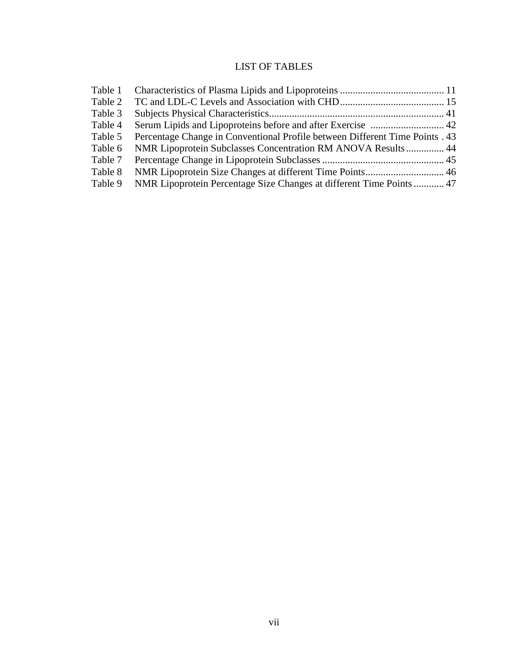## LIST OF TABLES

| Table 1 |                                                                              |  |
|---------|------------------------------------------------------------------------------|--|
| Table 2 |                                                                              |  |
| Table 3 |                                                                              |  |
| Table 4 |                                                                              |  |
| Table 5 | Percentage Change in Conventional Profile between Different Time Points . 43 |  |
| Table 6 | NMR Lipoprotein Subclasses Concentration RM ANOVA Results 44                 |  |
| Table 7 |                                                                              |  |
| Table 8 |                                                                              |  |
| Table 9 | NMR Lipoprotein Percentage Size Changes at different Time Points 47          |  |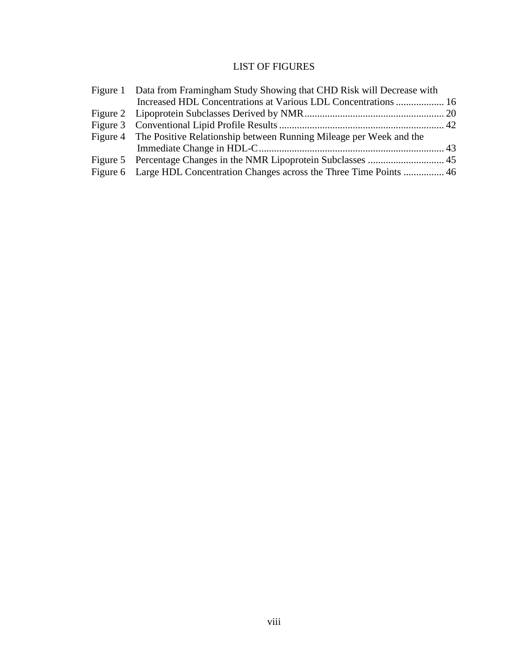## LIST OF FIGURES

| Figure 1 Data from Framingham Study Showing that CHD Risk will Decrease with |  |
|------------------------------------------------------------------------------|--|
| Increased HDL Concentrations at Various LDL Concentrations  16               |  |
|                                                                              |  |
|                                                                              |  |
| Figure 4 The Positive Relationship between Running Mileage per Week and the  |  |
|                                                                              |  |
|                                                                              |  |
| Figure 6 Large HDL Concentration Changes across the Three Time Points  46    |  |
|                                                                              |  |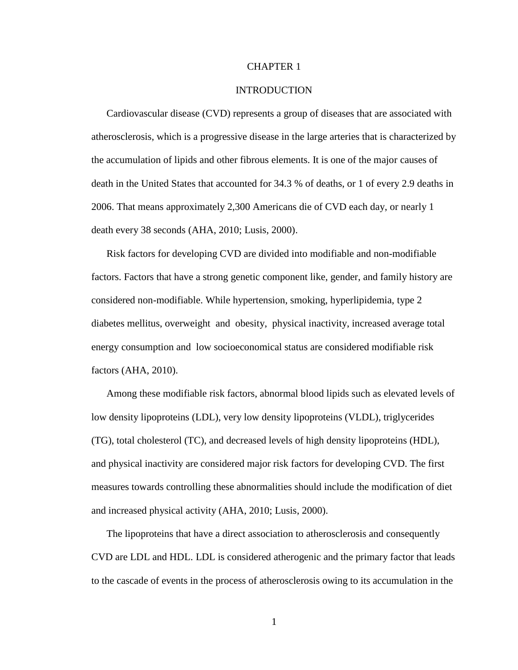#### CHAPTER 1

#### INTRODUCTION

Cardiovascular disease (CVD) represents a group of diseases that are associated with atherosclerosis, which is a progressive disease in the large arteries that is characterized by the accumulation of lipids and other fibrous elements. It is one of the major causes of death in the United States that accounted for 34.3 % of deaths, or 1 of every 2.9 deaths in 2006. That means approximately 2,300 Americans die of CVD each day, or nearly 1 death every 38 seconds (AHA, 2010; Lusis, 2000).

Risk factors for developing CVD are divided into modifiable and non-modifiable factors. Factors that have a strong genetic component like, gender, and family history are considered non-modifiable. While hypertension, smoking, hyperlipidemia, type 2 diabetes mellitus, overweight and obesity, physical inactivity, increased average total energy consumption and low socioeconomical status are considered modifiable risk factors (AHA, 2010).

Among these modifiable risk factors, abnormal blood lipids such as elevated levels of low density lipoproteins (LDL), very low density lipoproteins (VLDL), triglycerides (TG), total cholesterol (TC), and decreased levels of high density lipoproteins (HDL), and physical inactivity are considered major risk factors for developing CVD. The first measures towards controlling these abnormalities should include the modification of diet and increased physical activity (AHA, 2010; Lusis, 2000).

The lipoproteins that have a direct association to atherosclerosis and consequently CVD are LDL and HDL. LDL is considered atherogenic and the primary factor that leads to the cascade of events in the process of atherosclerosis owing to its accumulation in the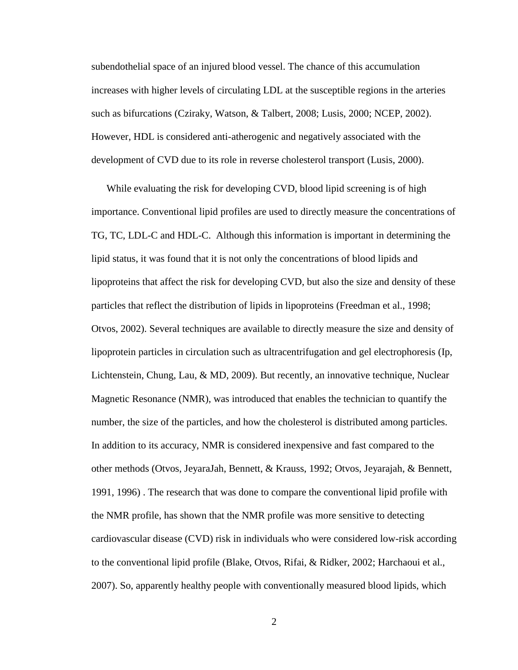subendothelial space of an injured blood vessel. The chance of this accumulation increases with higher levels of circulating LDL at the susceptible regions in the arteries such as bifurcations (Cziraky, Watson, & Talbert, 2008; Lusis, 2000; NCEP, 2002). However, HDL is considered anti-atherogenic and negatively associated with the development of CVD due to its role in reverse cholesterol transport (Lusis, 2000).

While evaluating the risk for developing CVD, blood lipid screening is of high importance. Conventional lipid profiles are used to directly measure the concentrations of TG, TC, LDL-C and HDL-C. Although this information is important in determining the lipid status, it was found that it is not only the concentrations of blood lipids and lipoproteins that affect the risk for developing CVD, but also the size and density of these particles that reflect the distribution of lipids in lipoproteins (Freedman et al., 1998; Otvos, 2002). Several techniques are available to directly measure the size and density of lipoprotein particles in circulation such as ultracentrifugation and gel electrophoresis (Ip, Lichtenstein, Chung, Lau, & MD, 2009). But recently, an innovative technique, Nuclear Magnetic Resonance (NMR), was introduced that enables the technician to quantify the number, the size of the particles, and how the cholesterol is distributed among particles. In addition to its accuracy, NMR is considered inexpensive and fast compared to the other methods (Otvos, JeyaraJah, Bennett, & Krauss, 1992; Otvos, Jeyarajah, & Bennett, 1991, 1996) . The research that was done to compare the conventional lipid profile with the NMR profile, has shown that the NMR profile was more sensitive to detecting cardiovascular disease (CVD) risk in individuals who were considered low-risk according to the conventional lipid profile (Blake, Otvos, Rifai, & Ridker, 2002; Harchaoui et al., 2007). So, apparently healthy people with conventionally measured blood lipids, which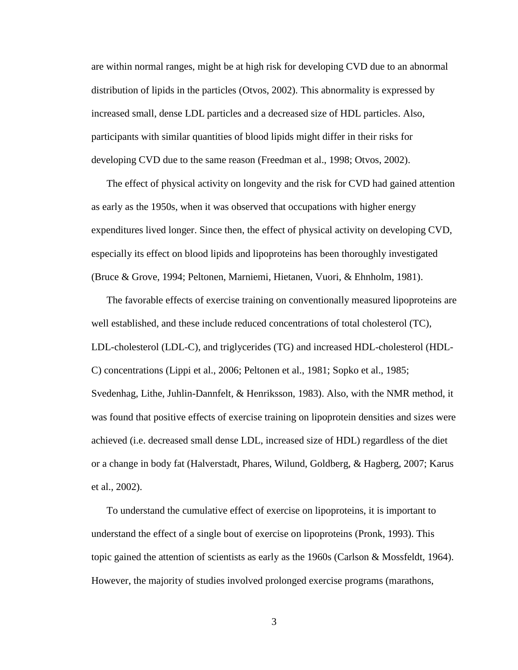are within normal ranges, might be at high risk for developing CVD due to an abnormal distribution of lipids in the particles (Otvos, 2002). This abnormality is expressed by increased small, dense LDL particles and a decreased size of HDL particles. Also, participants with similar quantities of blood lipids might differ in their risks for developing CVD due to the same reason (Freedman et al., 1998; Otvos, 2002).

The effect of physical activity on longevity and the risk for CVD had gained attention as early as the 1950s, when it was observed that occupations with higher energy expenditures lived longer. Since then, the effect of physical activity on developing CVD, especially its effect on blood lipids and lipoproteins has been thoroughly investigated (Bruce & Grove, 1994; Peltonen, Marniemi, Hietanen, Vuori, & Ehnholm, 1981).

The favorable effects of exercise training on conventionally measured lipoproteins are well established, and these include reduced concentrations of total cholesterol (TC), LDL-cholesterol (LDL-C), and triglycerides (TG) and increased HDL-cholesterol (HDL-C) concentrations (Lippi et al., 2006; Peltonen et al., 1981; Sopko et al., 1985; Svedenhag, Lithe, Juhlin-Dannfelt, & Henriksson, 1983). Also, with the NMR method, it was found that positive effects of exercise training on lipoprotein densities and sizes were achieved (i.e. decreased small dense LDL, increased size of HDL) regardless of the diet or a change in body fat (Halverstadt, Phares, Wilund, Goldberg, & Hagberg, 2007; Karus et al., 2002).

To understand the cumulative effect of exercise on lipoproteins, it is important to understand the effect of a single bout of exercise on lipoproteins (Pronk, 1993). This topic gained the attention of scientists as early as the 1960s (Carlson & Mossfeldt, 1964). However, the majority of studies involved prolonged exercise programs (marathons,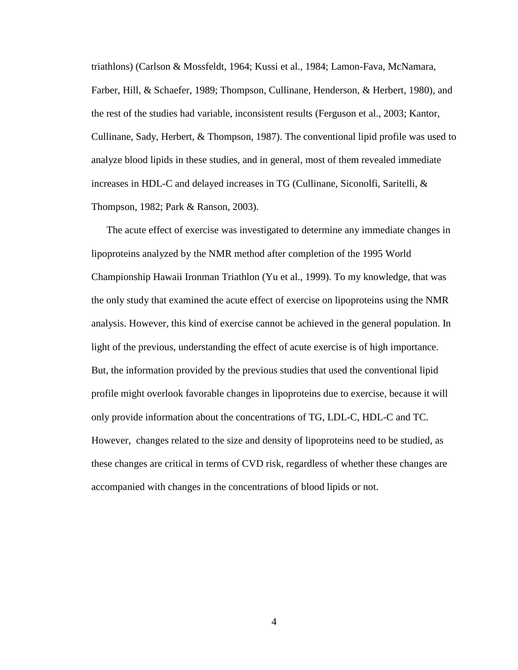triathlons) (Carlson & Mossfeldt, 1964; Kussi et al., 1984; Lamon-Fava, McNamara, Farber, Hill, & Schaefer, 1989; Thompson, Cullinane, Henderson, & Herbert, 1980), and the rest of the studies had variable, inconsistent results (Ferguson et al., 2003; Kantor, Cullinane, Sady, Herbert, & Thompson, 1987). The conventional lipid profile was used to analyze blood lipids in these studies, and in general, most of them revealed immediate increases in HDL-C and delayed increases in TG (Cullinane, Siconolfi, Saritelli, & Thompson, 1982; Park & Ranson, 2003).

The acute effect of exercise was investigated to determine any immediate changes in lipoproteins analyzed by the NMR method after completion of the 1995 World Championship Hawaii Ironman Triathlon (Yu et al., 1999). To my knowledge, that was the only study that examined the acute effect of exercise on lipoproteins using the NMR analysis. However, this kind of exercise cannot be achieved in the general population. In light of the previous, understanding the effect of acute exercise is of high importance. But, the information provided by the previous studies that used the conventional lipid profile might overlook favorable changes in lipoproteins due to exercise, because it will only provide information about the concentrations of TG, LDL-C, HDL-C and TC. However, changes related to the size and density of lipoproteins need to be studied, as these changes are critical in terms of CVD risk, regardless of whether these changes are accompanied with changes in the concentrations of blood lipids or not.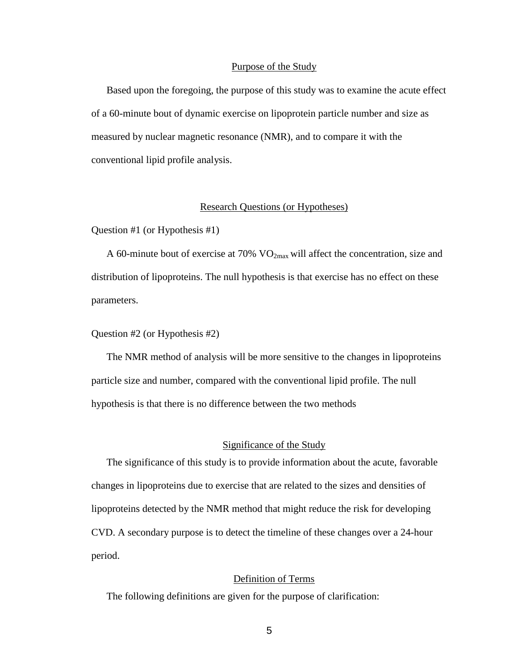#### Purpose of the Study

Based upon the foregoing, the purpose of this study was to examine the acute effect of a 60-minute bout of dynamic exercise on lipoprotein particle number and size as measured by nuclear magnetic resonance (NMR), and to compare it with the conventional lipid profile analysis.

#### Research Questions (or Hypotheses)

Question #1 (or Hypothesis #1)

A 60-minute bout of exercise at 70% VO2max will affect the concentration, size and distribution of lipoproteins. The null hypothesis is that exercise has no effect on these parameters.

#### Question #2 (or Hypothesis #2)

The NMR method of analysis will be more sensitive to the changes in lipoproteins particle size and number, compared with the conventional lipid profile. The null hypothesis is that there is no difference between the two methods

#### Significance of the Study

The significance of this study is to provide information about the acute, favorable changes in lipoproteins due to exercise that are related to the sizes and densities of lipoproteins detected by the NMR method that might reduce the risk for developing CVD. A secondary purpose is to detect the timeline of these changes over a 24-hour period.

#### Definition of Terms

The following definitions are given for the purpose of clarification: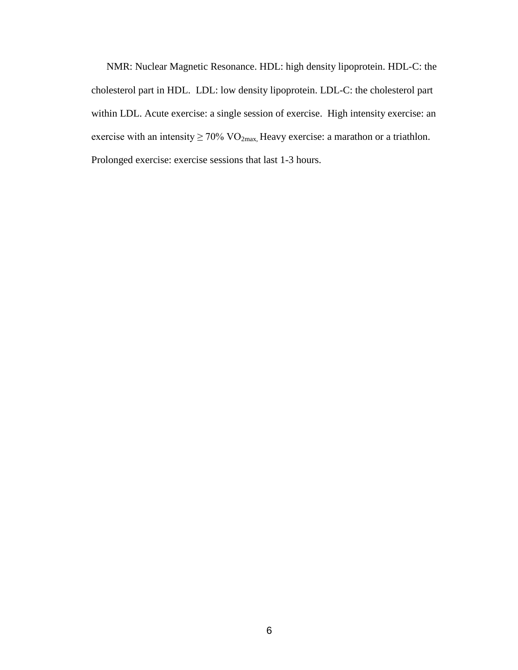NMR: Nuclear Magnetic Resonance. HDL: high density lipoprotein. HDL-C: the cholesterol part in HDL. LDL: low density lipoprotein. LDL-C: the cholesterol part within LDL. Acute exercise: a single session of exercise. High intensity exercise: an exercise with an intensity  $\geq 70\%$  VO<sub>2max</sub>, Heavy exercise: a marathon or a triathlon. Prolonged exercise: exercise sessions that last 1-3 hours.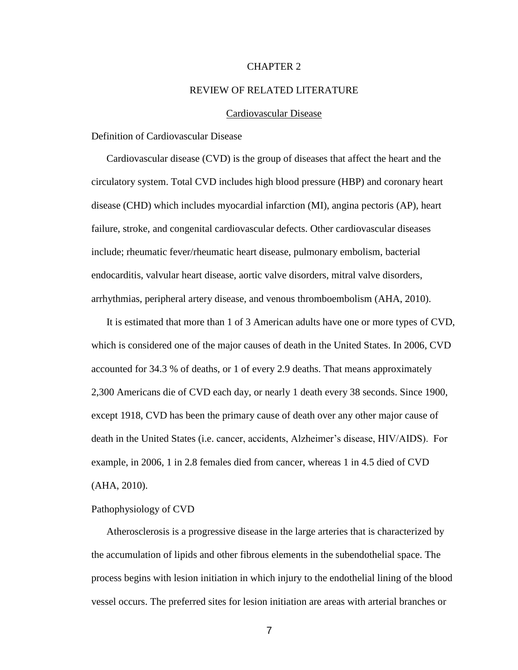#### CHAPTER 2

#### REVIEW OF RELATED LITERATURE

#### Cardiovascular Disease

#### Definition of Cardiovascular Disease

Cardiovascular disease (CVD) is the group of diseases that affect the heart and the circulatory system. Total CVD includes high blood pressure (HBP) and coronary heart disease (CHD) which includes myocardial infarction (MI), angina pectoris (AP), heart failure, stroke, and congenital cardiovascular defects. Other cardiovascular diseases include; rheumatic fever/rheumatic heart disease, pulmonary embolism, bacterial endocarditis, valvular heart disease, aortic valve disorders, mitral valve disorders, arrhythmias, peripheral artery disease, and venous thromboembolism (AHA, 2010).

It is estimated that more than 1 of 3 American adults have one or more types of CVD, which is considered one of the major causes of death in the United States. In 2006, CVD accounted for 34.3 % of deaths, or 1 of every 2.9 deaths. That means approximately 2,300 Americans die of CVD each day, or nearly 1 death every 38 seconds. Since 1900, except 1918, CVD has been the primary cause of death over any other major cause of death in the United States (i.e. cancer, accidents, Alzheimer's disease, HIV/AIDS). For example, in 2006, 1 in 2.8 females died from cancer, whereas 1 in 4.5 died of CVD (AHA, 2010).

#### Pathophysiology of CVD

Atherosclerosis is a progressive disease in the large arteries that is characterized by the accumulation of lipids and other fibrous elements in the subendothelial space. The process begins with lesion initiation in which injury to the endothelial lining of the blood vessel occurs. The preferred sites for lesion initiation are areas with arterial branches or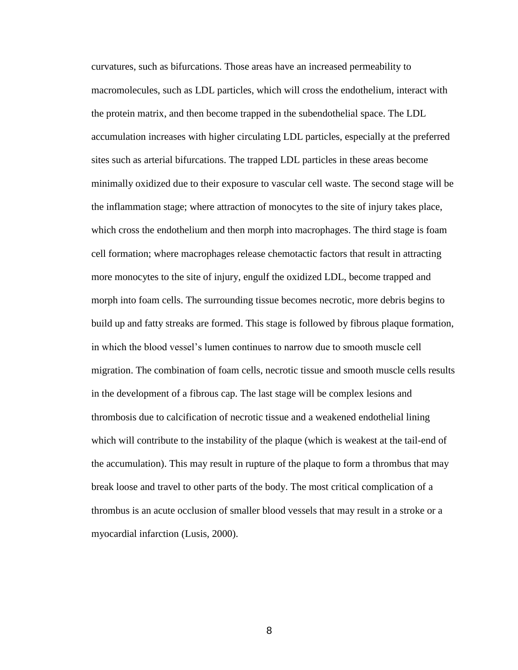curvatures, such as bifurcations. Those areas have an increased permeability to macromolecules, such as LDL particles, which will cross the endothelium, interact with the protein matrix, and then become trapped in the subendothelial space. The LDL accumulation increases with higher circulating LDL particles, especially at the preferred sites such as arterial bifurcations. The trapped LDL particles in these areas become minimally oxidized due to their exposure to vascular cell waste. The second stage will be the inflammation stage; where attraction of monocytes to the site of injury takes place, which cross the endothelium and then morph into macrophages. The third stage is foam cell formation; where macrophages release chemotactic factors that result in attracting more monocytes to the site of injury, engulf the oxidized LDL, become trapped and morph into foam cells. The surrounding tissue becomes necrotic, more debris begins to build up and fatty streaks are formed. This stage is followed by fibrous plaque formation, in which the blood vessel's lumen continues to narrow due to smooth muscle cell migration. The combination of foam cells, necrotic tissue and smooth muscle cells results in the development of a fibrous cap. The last stage will be complex lesions and thrombosis due to calcification of necrotic tissue and a weakened endothelial lining which will contribute to the instability of the plaque (which is weakest at the tail-end of the accumulation). This may result in rupture of the plaque to form a thrombus that may break loose and travel to other parts of the body. The most critical complication of a thrombus is an acute occlusion of smaller blood vessels that may result in a stroke or a myocardial infarction (Lusis, 2000).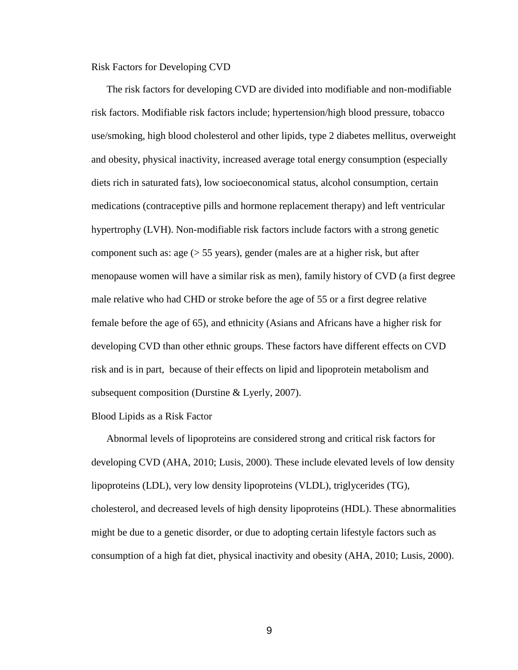Risk Factors for Developing CVD

The risk factors for developing CVD are divided into modifiable and non-modifiable risk factors. Modifiable risk factors include; hypertension/high blood pressure, tobacco use/smoking, high blood cholesterol and other lipids, type 2 diabetes mellitus, overweight and obesity, physical inactivity, increased average total energy consumption (especially diets rich in saturated fats), low socioeconomical status, alcohol consumption, certain medications (contraceptive pills and hormone replacement therapy) and left ventricular hypertrophy (LVH). Non-modifiable risk factors include factors with a strong genetic component such as: age  $(55 \text{ years})$ , gender (males are at a higher risk, but after menopause women will have a similar risk as men), family history of CVD (a first degree male relative who had CHD or stroke before the age of 55 or a first degree relative female before the age of 65), and ethnicity (Asians and Africans have a higher risk for developing CVD than other ethnic groups. These factors have different effects on CVD risk and is in part, because of their effects on lipid and lipoprotein metabolism and subsequent composition (Durstine & Lyerly, 2007).

#### Blood Lipids as a Risk Factor

Abnormal levels of lipoproteins are considered strong and critical risk factors for developing CVD (AHA, 2010; Lusis, 2000). These include elevated levels of low density lipoproteins (LDL), very low density lipoproteins (VLDL), triglycerides (TG), cholesterol, and decreased levels of high density lipoproteins (HDL). These abnormalities might be due to a genetic disorder, or due to adopting certain lifestyle factors such as consumption of a high fat diet, physical inactivity and obesity (AHA, 2010; Lusis, 2000).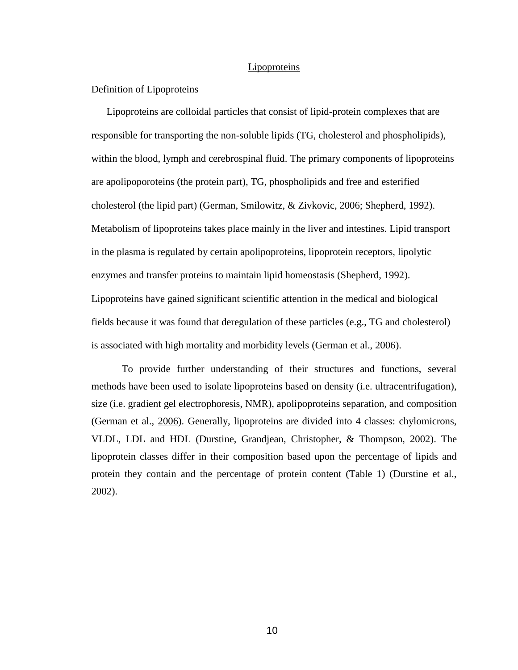#### **Lipoproteins**

#### Definition of Lipoproteins

Lipoproteins are colloidal particles that consist of lipid-protein complexes that are responsible for transporting the non-soluble lipids (TG, cholesterol and phospholipids), within the blood, lymph and cerebrospinal fluid. The primary components of lipoproteins are apolipoporoteins (the protein part), TG, phospholipids and free and esterified cholesterol (the lipid part) (German, Smilowitz, & Zivkovic, 2006; Shepherd, 1992). Metabolism of lipoproteins takes place mainly in the liver and intestines. Lipid transport in the plasma is regulated by certain apolipoproteins, lipoprotein receptors, lipolytic enzymes and transfer proteins to maintain lipid homeostasis (Shepherd, 1992). Lipoproteins have gained significant scientific attention in the medical and biological fields because it was found that deregulation of these particles (e.g., TG and cholesterol) is associated with high mortality and morbidity levels (German et al., 2006).

To provide further understanding of their structures and functions, several methods have been used to isolate lipoproteins based on density (i.e. ultracentrifugation), size (i.e. gradient gel electrophoresis, NMR), apolipoproteins separation, and composition (German et al., 2006). Generally, lipoproteins are divided into 4 classes: chylomicrons, VLDL, LDL and HDL (Durstine, Grandjean, Christopher, & Thompson, 2002). The lipoprotein classes differ in their composition based upon the percentage of lipids and protein they contain and the percentage of protein content (Table 1) (Durstine et al., 2002).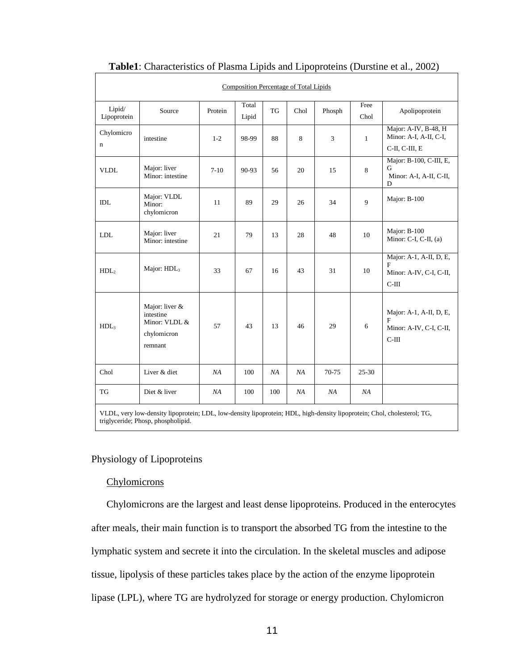| <b>Composition Percentage of Total Lipids</b>                                                                                                                 |                                                                        |         |                |           |      |        |              |                                                                    |
|---------------------------------------------------------------------------------------------------------------------------------------------------------------|------------------------------------------------------------------------|---------|----------------|-----------|------|--------|--------------|--------------------------------------------------------------------|
| Lipid/<br>Lipoprotein                                                                                                                                         | Source                                                                 | Protein | Total<br>Lipid | <b>TG</b> | Chol | Phosph | Free<br>Chol | Apolipoprotein                                                     |
| Chylomicro<br>$\mathbf n$                                                                                                                                     | intestine                                                              | $1 - 2$ | 98-99          | 88        | 8    | 3      | $\mathbf{1}$ | Major: A-IV, B-48, H<br>Minor: A-I, A-II, C-I,<br>C-II, C-III, E   |
| <b>VLDL</b>                                                                                                                                                   | Major: liver<br>Minor: intestine                                       | $7-10$  | 90-93          | 56        | 20   | 15     | 8            | Major: B-100, C-III, E,<br>G<br>Minor: A-I, A-II, C-II,<br>D       |
| <b>IDL</b>                                                                                                                                                    | Major: VLDL<br>Minor:<br>chylomicron                                   | 11      | 89             | 29        | 26   | 34     | 9            | Major: B-100                                                       |
| ${\rm LDL}$                                                                                                                                                   | Major: liver<br>Minor: intestine                                       | 21      | 79             | 13        | 28   | 48     | 10           | Major: B-100<br>Minor: C-I, C-II, (a)                              |
| HDL <sub>2</sub>                                                                                                                                              | Major: HDL <sub>3</sub>                                                | 33      | 67             | 16        | 43   | 31     | 10           | Major: A-1, A-II, D, E,<br>F<br>Minor: A-IV, C-I, C-II,<br>$C-III$ |
| HDL <sub>3</sub>                                                                                                                                              | Major: liver &<br>intestine<br>Minor: VLDL &<br>chylomicron<br>remnant | 57      | 43             | 13        | 46   | 29     | 6            | Major: A-1, A-II, D, E,<br>F<br>Minor: A-IV, C-I, C-II,<br>$C-III$ |
| Chol                                                                                                                                                          | Liver & diet                                                           | NA      | 100            | NA        | NA   | 70-75  | $25 - 30$    |                                                                    |
| TG                                                                                                                                                            | Diet & liver                                                           | NA      | 100            | 100       | NA   | NA     | NA           |                                                                    |
| VLDL, very low-density lipoprotein; LDL, low-density lipoprotein; HDL, high-density lipoprotein; Chol, cholesterol; TG,<br>triglyceride; Phosp, phospholipid. |                                                                        |         |                |           |      |        |              |                                                                    |

#### **Table1**: Characteristics of Plasma Lipids and Lipoproteins (Durstine et al., 2002)

#### Physiology of Lipoproteins

#### **Chylomicrons**

 $\mathsf{r}$ 

Chylomicrons are the largest and least dense lipoproteins. Produced in the enterocytes after meals, their main function is to transport the absorbed TG from the intestine to the lymphatic system and secrete it into the circulation. In the skeletal muscles and adipose tissue, lipolysis of these particles takes place by the action of the enzyme lipoprotein lipase (LPL), where TG are hydrolyzed for storage or energy production. Chylomicron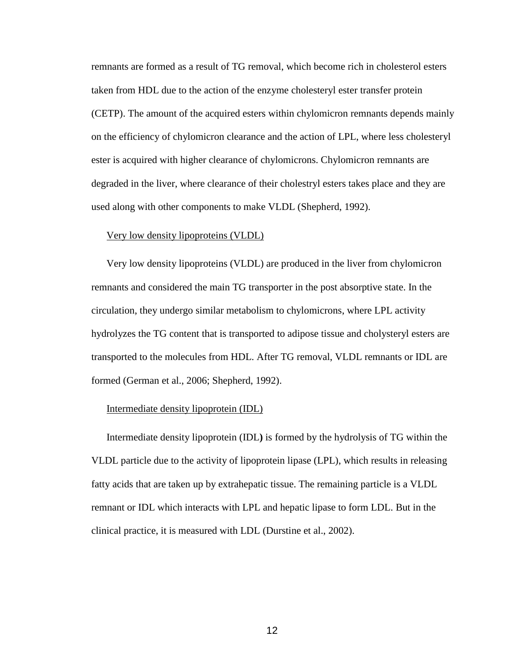remnants are formed as a result of TG removal, which become rich in cholesterol esters taken from HDL due to the action of the enzyme cholesteryl ester transfer protein (CETP). The amount of the acquired esters within chylomicron remnants depends mainly on the efficiency of chylomicron clearance and the action of LPL, where less cholesteryl ester is acquired with higher clearance of chylomicrons. Chylomicron remnants are degraded in the liver, where clearance of their cholestryl esters takes place and they are used along with other components to make VLDL (Shepherd, 1992).

#### Very low density lipoproteins (VLDL)

Very low density lipoproteins (VLDL) are produced in the liver from chylomicron remnants and considered the main TG transporter in the post absorptive state. In the circulation, they undergo similar metabolism to chylomicrons, where LPL activity hydrolyzes the TG content that is transported to adipose tissue and cholysteryl esters are transported to the molecules from HDL. After TG removal, VLDL remnants or IDL are formed (German et al., 2006; Shepherd, 1992).

#### Intermediate density lipoprotein (IDL)

Intermediate density lipoprotein (IDL**)** is formed by the hydrolysis of TG within the VLDL particle due to the activity of lipoprotein lipase (LPL), which results in releasing fatty acids that are taken up by extrahepatic tissue. The remaining particle is a VLDL remnant or IDL which interacts with LPL and hepatic lipase to form LDL. But in the clinical practice, it is measured with LDL (Durstine et al., 2002).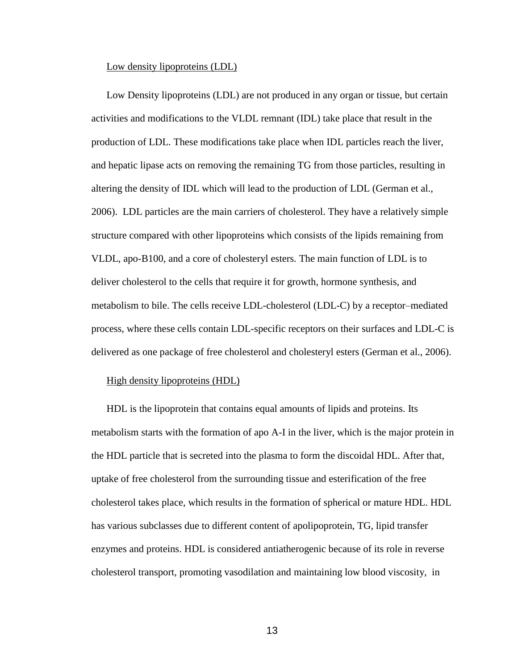#### Low density lipoproteins (LDL)

Low Density lipoproteins (LDL) are not produced in any organ or tissue, but certain activities and modifications to the VLDL remnant (IDL) take place that result in the production of LDL. These modifications take place when IDL particles reach the liver, and hepatic lipase acts on removing the remaining TG from those particles, resulting in altering the density of IDL which will lead to the production of LDL (German et al., 2006). LDL particles are the main carriers of cholesterol. They have a relatively simple structure compared with other lipoproteins which consists of the lipids remaining from VLDL, apo-B100, and a core of cholesteryl esters. The main function of LDL is to deliver cholesterol to the cells that require it for growth, hormone synthesis, and metabolism to bile. The cells receive LDL-cholesterol (LDL-C) by a receptor–mediated process, where these cells contain LDL-specific receptors on their surfaces and LDL-C is delivered as one package of free cholesterol and cholesteryl esters (German et al., 2006).

#### High density lipoproteins (HDL)

HDL is the lipoprotein that contains equal amounts of lipids and proteins. Its metabolism starts with the formation of apo A-I in the liver, which is the major protein in the HDL particle that is secreted into the plasma to form the discoidal HDL. After that, uptake of free cholesterol from the surrounding tissue and esterification of the free cholesterol takes place, which results in the formation of spherical or mature HDL. HDL has various subclasses due to different content of apolipoprotein, TG, lipid transfer enzymes and proteins. HDL is considered antiatherogenic because of its role in reverse cholesterol transport, promoting vasodilation and maintaining low blood viscosity, in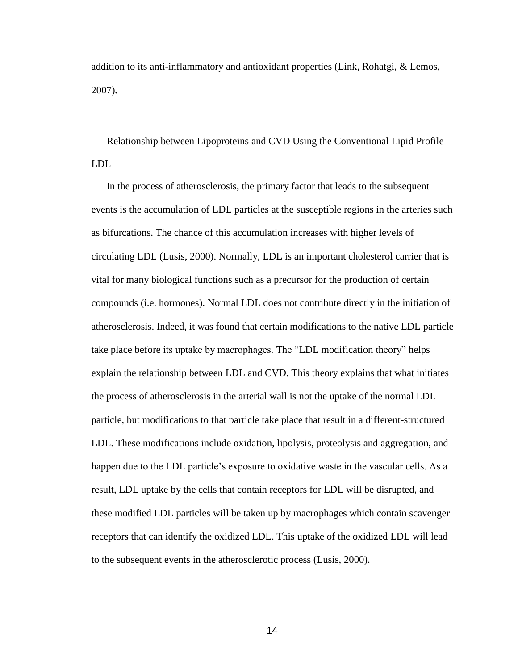addition to its anti-inflammatory and antioxidant properties (Link, Rohatgi, & Lemos, 2007)**.**

Relationship between Lipoproteins and CVD Using the Conventional Lipid Profile LDL

In the process of atherosclerosis, the primary factor that leads to the subsequent events is the accumulation of LDL particles at the susceptible regions in the arteries such as bifurcations. The chance of this accumulation increases with higher levels of circulating LDL (Lusis, 2000). Normally, LDL is an important cholesterol carrier that is vital for many biological functions such as a precursor for the production of certain compounds (i.e. hormones). Normal LDL does not contribute directly in the initiation of atherosclerosis. Indeed, it was found that certain modifications to the native LDL particle take place before its uptake by macrophages. The "LDL modification theory" helps explain the relationship between LDL and CVD. This theory explains that what initiates the process of atherosclerosis in the arterial wall is not the uptake of the normal LDL particle, but modifications to that particle take place that result in a different-structured LDL. These modifications include oxidation, lipolysis, proteolysis and aggregation, and happen due to the LDL particle's exposure to oxidative waste in the vascular cells. As a result, LDL uptake by the cells that contain receptors for LDL will be disrupted, and these modified LDL particles will be taken up by macrophages which contain scavenger receptors that can identify the oxidized LDL. This uptake of the oxidized LDL will lead to the subsequent events in the atherosclerotic process (Lusis, 2000).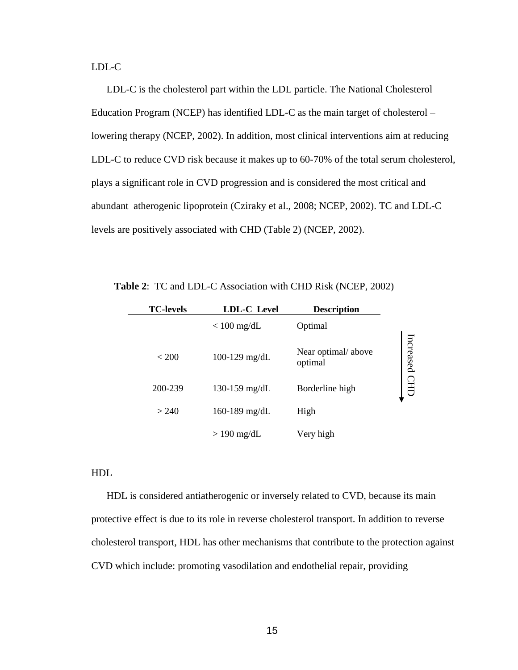LDL-C

LDL-C is the cholesterol part within the LDL particle. The National Cholesterol Education Program (NCEP) has identified LDL-C as the main target of cholesterol – lowering therapy (NCEP, 2002). In addition, most clinical interventions aim at reducing LDL-C to reduce CVD risk because it makes up to 60-70% of the total serum cholesterol, plays a significant role in CVD progression and is considered the most critical and abundant atherogenic lipoprotein (Cziraky et al., 2008; NCEP, 2002). TC and LDL-C levels are positively associated with CHD (Table 2) (NCEP, 2002).

|     | <b>TC-levels</b> | <b>LDL-C</b> Level | <b>Description</b>                                                                      |               |
|-----|------------------|--------------------|-----------------------------------------------------------------------------------------|---------------|
|     |                  | $< 100$ mg/dL      | Optimal                                                                                 |               |
|     | < 200            | 100-129 mg/dL      | Near optimal/above<br>optimal                                                           | Increased CHD |
|     | 200-239          | 130-159 mg/dL      | Borderline high                                                                         |               |
|     | > 240            | 160-189 mg/dL      | High                                                                                    |               |
|     |                  | $> 190$ mg/dL      | Very high                                                                               |               |
|     |                  |                    |                                                                                         |               |
| HDL |                  |                    |                                                                                         |               |
|     |                  |                    | HDL is considered antiatherogenic or inversely related to CVD, because its r            |               |
|     |                  |                    | protective effect is due to its role in reverse cholesterol transport. In addition to r |               |
|     |                  |                    | cholesterol transport, HDL has other mechanisms that contribute to the protectio        |               |
|     |                  |                    | CVD which include: promoting vasodilation and endothelial repair, providing             |               |

 **Table 2**: TC and LDL-C Association with CHD Risk (NCEP, 2002)

#### HDL

HDL is considered antiatherogenic or inversely related to CVD, because its main protective effect is due to its role in reverse cholesterol transport. In addition to reverse cholesterol transport, HDL has other mechanisms that contribute to the protection against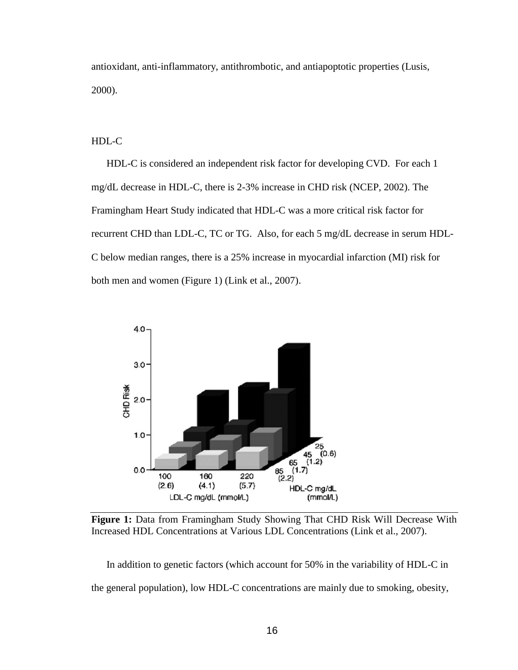antioxidant, anti-inflammatory, antithrombotic, and antiapoptotic properties (Lusis, 2000).

HDL-C

HDL-C is considered an independent risk factor for developing CVD. For each 1 mg/dL decrease in HDL-C, there is 2-3% increase in CHD risk (NCEP, 2002). The Framingham Heart Study indicated that HDL-C was a more critical risk factor for recurrent CHD than LDL-C, TC or TG. Also, for each 5 mg/dL decrease in serum HDL-C below median ranges, there is a 25% increase in myocardial infarction (MI) risk for both men and women (Figure 1) (Link et al., 2007).



**Figure 1:** Data from Framingham Study Showing That CHD Risk Will Decrease With Increased HDL Concentrations at Various LDL Concentrations (Link et al., 2007).

In addition to genetic factors (which account for 50% in the variability of HDL-C in the general population), low HDL-C concentrations are mainly due to smoking, obesity,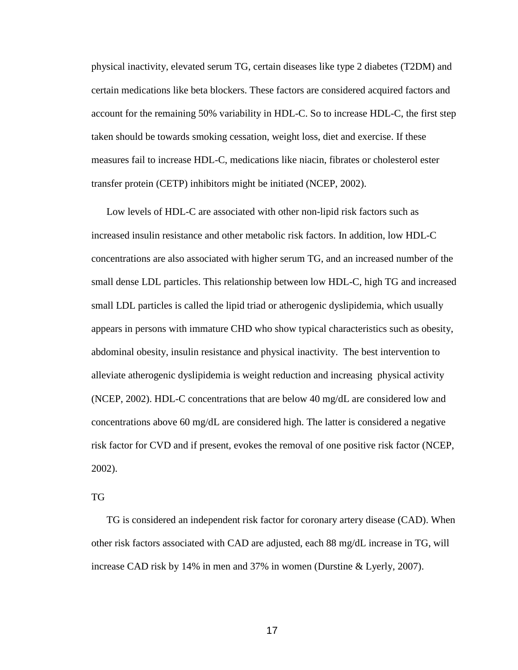physical inactivity, elevated serum TG, certain diseases like type 2 diabetes (T2DM) and certain medications like beta blockers. These factors are considered acquired factors and account for the remaining 50% variability in HDL-C. So to increase HDL-C, the first step taken should be towards smoking cessation, weight loss, diet and exercise. If these measures fail to increase HDL-C, medications like niacin, fibrates or cholesterol ester transfer protein (CETP) inhibitors might be initiated (NCEP, 2002).

Low levels of HDL-C are associated with other non-lipid risk factors such as increased insulin resistance and other metabolic risk factors. In addition, low HDL-C concentrations are also associated with higher serum TG, and an increased number of the small dense LDL particles. This relationship between low HDL-C, high TG and increased small LDL particles is called the lipid triad or atherogenic dyslipidemia, which usually appears in persons with immature CHD who show typical characteristics such as obesity, abdominal obesity, insulin resistance and physical inactivity. The best intervention to alleviate atherogenic dyslipidemia is weight reduction and increasing physical activity (NCEP, 2002). HDL-C concentrations that are below 40 mg/dL are considered low and concentrations above 60 mg/dL are considered high. The latter is considered a negative risk factor for CVD and if present, evokes the removal of one positive risk factor (NCEP, 2002).

#### TG

TG is considered an independent risk factor for coronary artery disease (CAD). When other risk factors associated with CAD are adjusted, each 88 mg/dL increase in TG, will increase CAD risk by 14% in men and 37% in women (Durstine & Lyerly, 2007).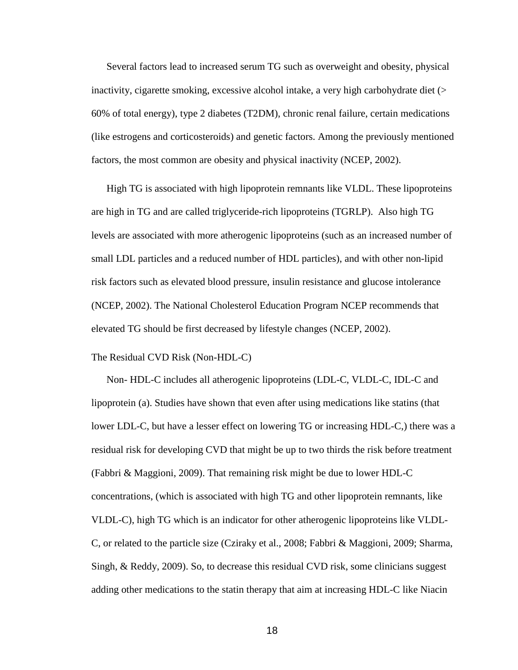Several factors lead to increased serum TG such as overweight and obesity, physical inactivity, cigarette smoking, excessive alcohol intake, a very high carbohydrate diet (> 60% of total energy), type 2 diabetes (T2DM), chronic renal failure, certain medications (like estrogens and corticosteroids) and genetic factors. Among the previously mentioned factors, the most common are obesity and physical inactivity (NCEP, 2002).

High TG is associated with high lipoprotein remnants like VLDL. These lipoproteins are high in TG and are called triglyceride-rich lipoproteins (TGRLP). Also high TG levels are associated with more atherogenic lipoproteins (such as an increased number of small LDL particles and a reduced number of HDL particles), and with other non-lipid risk factors such as elevated blood pressure, insulin resistance and glucose intolerance (NCEP, 2002). The National Cholesterol Education Program NCEP recommends that elevated TG should be first decreased by lifestyle changes (NCEP, 2002).

#### The Residual CVD Risk (Non-HDL-C)

Non- HDL-C includes all atherogenic lipoproteins (LDL-C, VLDL-C, IDL-C and lipoprotein (a). Studies have shown that even after using medications like statins (that lower LDL-C, but have a lesser effect on lowering TG or increasing HDL-C,) there was a residual risk for developing CVD that might be up to two thirds the risk before treatment (Fabbri & Maggioni, 2009). That remaining risk might be due to lower HDL-C concentrations, (which is associated with high TG and other lipoprotein remnants, like VLDL-C), high TG which is an indicator for other atherogenic lipoproteins like VLDL-C, or related to the particle size (Cziraky et al., 2008; Fabbri & Maggioni, 2009; Sharma, Singh, & Reddy, 2009). So, to decrease this residual CVD risk, some clinicians suggest adding other medications to the statin therapy that aim at increasing HDL-C like Niacin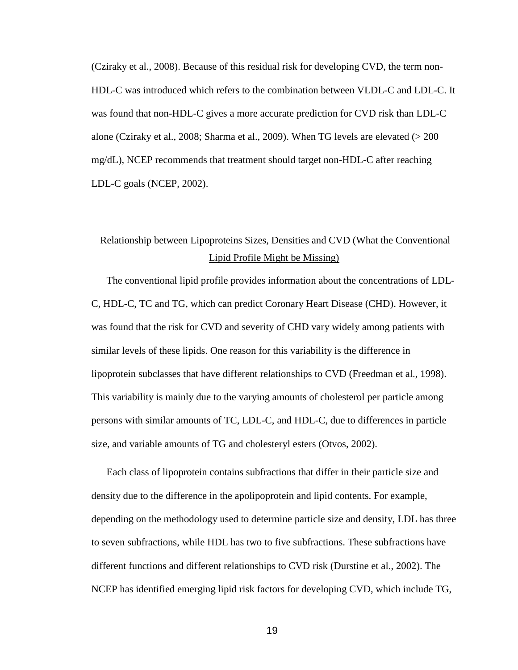(Cziraky et al., 2008). Because of this residual risk for developing CVD, the term non-HDL-C was introduced which refers to the combination between VLDL-C and LDL-C. It was found that non-HDL-C gives a more accurate prediction for CVD risk than LDL-C alone (Cziraky et al., 2008; Sharma et al., 2009). When TG levels are elevated (> 200 mg/dL), NCEP recommends that treatment should target non-HDL-C after reaching LDL-C goals (NCEP, 2002).

## Relationship between Lipoproteins Sizes, Densities and CVD (What the Conventional Lipid Profile Might be Missing)

The conventional lipid profile provides information about the concentrations of LDL-C, HDL-C, TC and TG, which can predict Coronary Heart Disease (CHD). However, it was found that the risk for CVD and severity of CHD vary widely among patients with similar levels of these lipids. One reason for this variability is the difference in lipoprotein subclasses that have different relationships to CVD (Freedman et al., 1998). This variability is mainly due to the varying amounts of cholesterol per particle among persons with similar amounts of TC, LDL-C, and HDL-C, due to differences in particle size, and variable amounts of TG and cholesteryl esters (Otvos, 2002).

Each class of lipoprotein contains subfractions that differ in their particle size and density due to the difference in the apolipoprotein and lipid contents. For example, depending on the methodology used to determine particle size and density, LDL has three to seven subfractions, while HDL has two to five subfractions. These subfractions have different functions and different relationships to CVD risk (Durstine et al., 2002). The NCEP has identified emerging lipid risk factors for developing CVD, which include TG,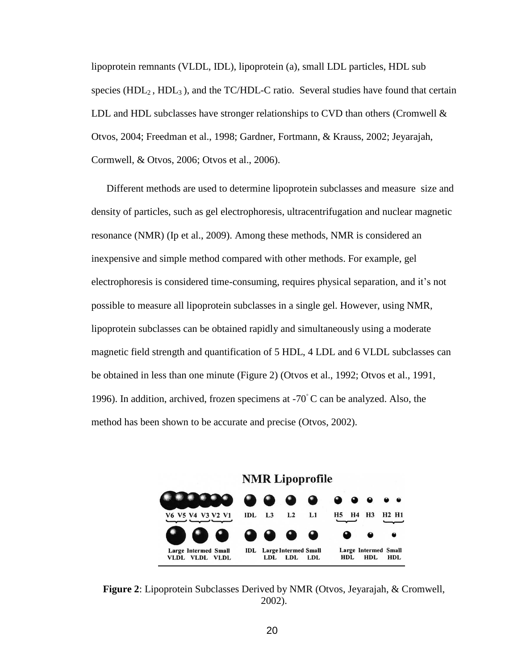lipoprotein remnants (VLDL, IDL), lipoprotein (a), small LDL particles, HDL sub species ( $HDL<sub>2</sub>$ ,  $HDL<sub>3</sub>$ ), and the TC/HDL-C ratio. Several studies have found that certain LDL and HDL subclasses have stronger relationships to CVD than others (Cromwell  $\&$ Otvos, 2004; Freedman et al., 1998; Gardner, Fortmann, & Krauss, 2002; Jeyarajah, Cormwell, & Otvos, 2006; Otvos et al., 2006).

Different methods are used to determine lipoprotein subclasses and measure size and density of particles, such as gel electrophoresis, ultracentrifugation and nuclear magnetic resonance (NMR) (Ip et al., 2009). Among these methods, NMR is considered an inexpensive and simple method compared with other methods. For example, gel electrophoresis is considered time-consuming, requires physical separation, and it's not possible to measure all lipoprotein subclasses in a single gel. However, using NMR, lipoprotein subclasses can be obtained rapidly and simultaneously using a moderate magnetic field strength and quantification of 5 HDL, 4 LDL and 6 VLDL subclasses can be obtained in less than one minute (Figure 2) (Otvos et al., 1992; Otvos et al., 1991, 1996). In addition, archived, frozen specimens at -70◦ C can be analyzed. Also, the method has been shown to be accurate and precise (Otvos, 2002).



**Figure 2**: Lipoprotein Subclasses Derived by NMR (Otvos, Jeyarajah, & Cromwell, 2002).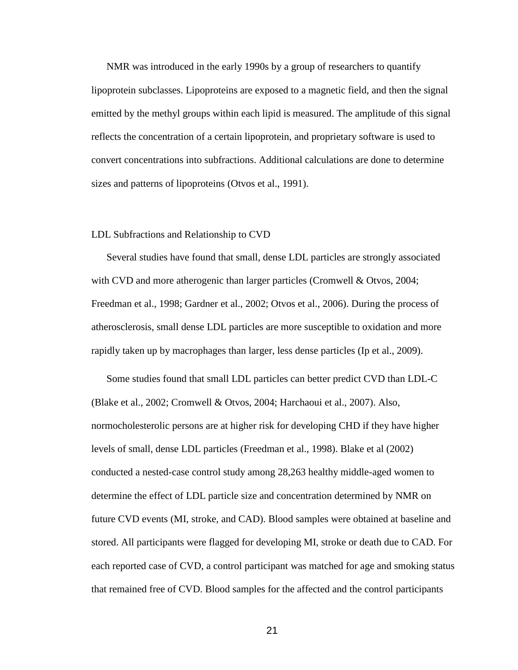NMR was introduced in the early 1990s by a group of researchers to quantify lipoprotein subclasses. Lipoproteins are exposed to a magnetic field, and then the signal emitted by the methyl groups within each lipid is measured. The amplitude of this signal reflects the concentration of a certain lipoprotein, and proprietary software is used to convert concentrations into subfractions. Additional calculations are done to determine sizes and patterns of lipoproteins (Otvos et al., 1991).

#### LDL Subfractions and Relationship to CVD

Several studies have found that small, dense LDL particles are strongly associated with CVD and more atherogenic than larger particles (Cromwell & Otvos, 2004; Freedman et al., 1998; Gardner et al., 2002; Otvos et al., 2006). During the process of atherosclerosis, small dense LDL particles are more susceptible to oxidation and more rapidly taken up by macrophages than larger, less dense particles (Ip et al., 2009).

Some studies found that small LDL particles can better predict CVD than LDL-C (Blake et al., 2002; Cromwell & Otvos, 2004; Harchaoui et al., 2007). Also, normocholesterolic persons are at higher risk for developing CHD if they have higher levels of small, dense LDL particles (Freedman et al., 1998). Blake et al (2002) conducted a nested-case control study among 28,263 healthy middle-aged women to determine the effect of LDL particle size and concentration determined by NMR on future CVD events (MI, stroke, and CAD). Blood samples were obtained at baseline and stored. All participants were flagged for developing MI, stroke or death due to CAD. For each reported case of CVD, a control participant was matched for age and smoking status that remained free of CVD. Blood samples for the affected and the control participants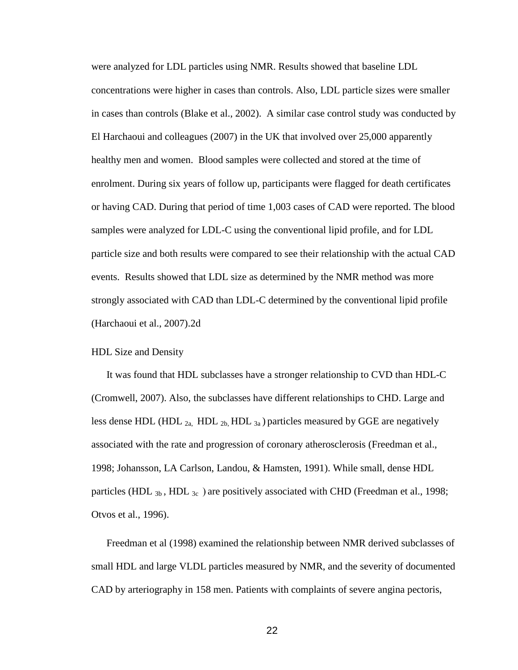were analyzed for LDL particles using NMR. Results showed that baseline LDL concentrations were higher in cases than controls. Also, LDL particle sizes were smaller in cases than controls (Blake et al., 2002). A similar case control study was conducted by El Harchaoui and colleagues (2007) in the UK that involved over 25,000 apparently healthy men and women. Blood samples were collected and stored at the time of enrolment. During six years of follow up, participants were flagged for death certificates or having CAD. During that period of time 1,003 cases of CAD were reported. The blood samples were analyzed for LDL-C using the conventional lipid profile, and for LDL particle size and both results were compared to see their relationship with the actual CAD events. Results showed that LDL size as determined by the NMR method was more strongly associated with CAD than LDL-C determined by the conventional lipid profile (Harchaoui et al., 2007).2d

#### HDL Size and Density

It was found that HDL subclasses have a stronger relationship to CVD than HDL-C (Cromwell, 2007). Also, the subclasses have different relationships to CHD. Large and less dense HDL (HDL  $_{2a}$ , HDL  $_{2b}$ , HDL  $_{3a}$ ) particles measured by GGE are negatively associated with the rate and progression of coronary atherosclerosis (Freedman et al., 1998; Johansson, LA Carlson, Landou, & Hamsten, 1991). While small, dense HDL particles (HDL  $_{3b}$ , HDL  $_{3c}$ ) are positively associated with CHD (Freedman et al., 1998; Otvos et al., 1996).

Freedman et al (1998) examined the relationship between NMR derived subclasses of small HDL and large VLDL particles measured by NMR, and the severity of documented CAD by arteriography in 158 men. Patients with complaints of severe angina pectoris,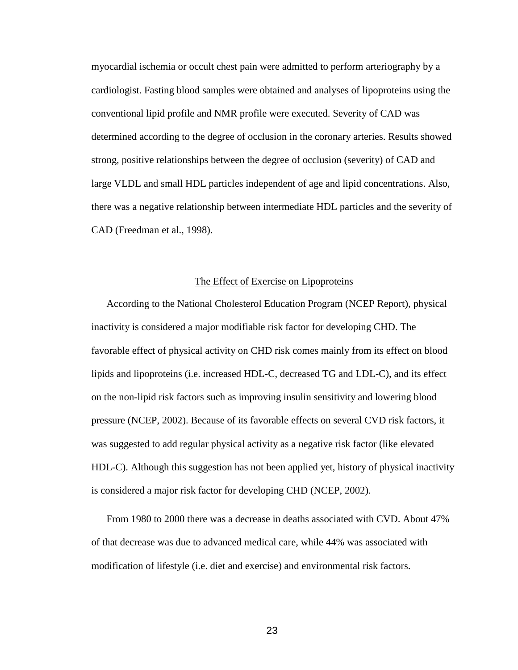myocardial ischemia or occult chest pain were admitted to perform arteriography by a cardiologist. Fasting blood samples were obtained and analyses of lipoproteins using the conventional lipid profile and NMR profile were executed. Severity of CAD was determined according to the degree of occlusion in the coronary arteries. Results showed strong, positive relationships between the degree of occlusion (severity) of CAD and large VLDL and small HDL particles independent of age and lipid concentrations. Also, there was a negative relationship between intermediate HDL particles and the severity of CAD (Freedman et al., 1998).

#### The Effect of Exercise on Lipoproteins

According to the National Cholesterol Education Program (NCEP Report), physical inactivity is considered a major modifiable risk factor for developing CHD. The favorable effect of physical activity on CHD risk comes mainly from its effect on blood lipids and lipoproteins (i.e. increased HDL-C, decreased TG and LDL-C), and its effect on the non-lipid risk factors such as improving insulin sensitivity and lowering blood pressure (NCEP, 2002). Because of its favorable effects on several CVD risk factors, it was suggested to add regular physical activity as a negative risk factor (like elevated HDL-C). Although this suggestion has not been applied yet, history of physical inactivity is considered a major risk factor for developing CHD (NCEP, 2002).

From 1980 to 2000 there was a decrease in deaths associated with CVD. About 47% of that decrease was due to advanced medical care, while 44% was associated with modification of lifestyle (i.e. diet and exercise) and environmental risk factors.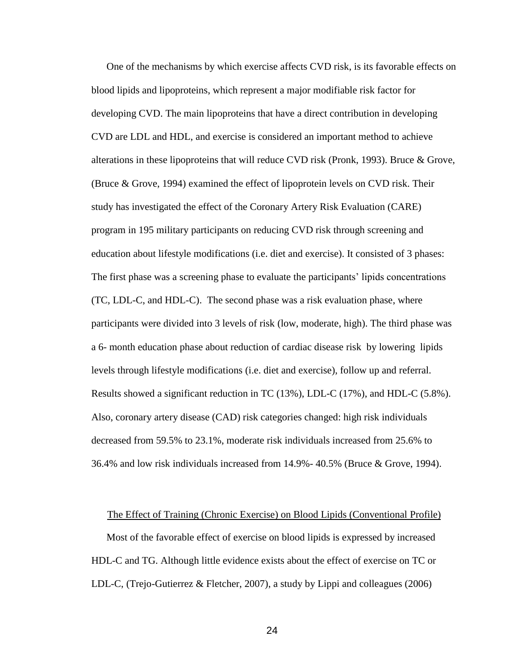One of the mechanisms by which exercise affects CVD risk, is its favorable effects on blood lipids and lipoproteins, which represent a major modifiable risk factor for developing CVD. The main lipoproteins that have a direct contribution in developing CVD are LDL and HDL, and exercise is considered an important method to achieve alterations in these lipoproteins that will reduce CVD risk (Pronk, 1993). Bruce & Grove, (Bruce & Grove, 1994) examined the effect of lipoprotein levels on CVD risk. Their study has investigated the effect of the Coronary Artery Risk Evaluation (CARE) program in 195 military participants on reducing CVD risk through screening and education about lifestyle modifications (i.e. diet and exercise). It consisted of 3 phases: The first phase was a screening phase to evaluate the participants' lipids concentrations (TC, LDL-C, and HDL-C). The second phase was a risk evaluation phase, where participants were divided into 3 levels of risk (low, moderate, high). The third phase was a 6- month education phase about reduction of cardiac disease risk by lowering lipids levels through lifestyle modifications (i.e. diet and exercise), follow up and referral. Results showed a significant reduction in TC (13%), LDL-C (17%), and HDL-C (5.8%). Also, coronary artery disease (CAD) risk categories changed: high risk individuals decreased from 59.5% to 23.1%, moderate risk individuals increased from 25.6% to 36.4% and low risk individuals increased from 14.9%- 40.5% (Bruce & Grove, 1994).

#### The Effect of Training (Chronic Exercise) on Blood Lipids (Conventional Profile)

Most of the favorable effect of exercise on blood lipids is expressed by increased HDL-C and TG. Although little evidence exists about the effect of exercise on TC or LDL-C, (Trejo-Gutierrez & Fletcher, 2007), a study by Lippi and colleagues (2006)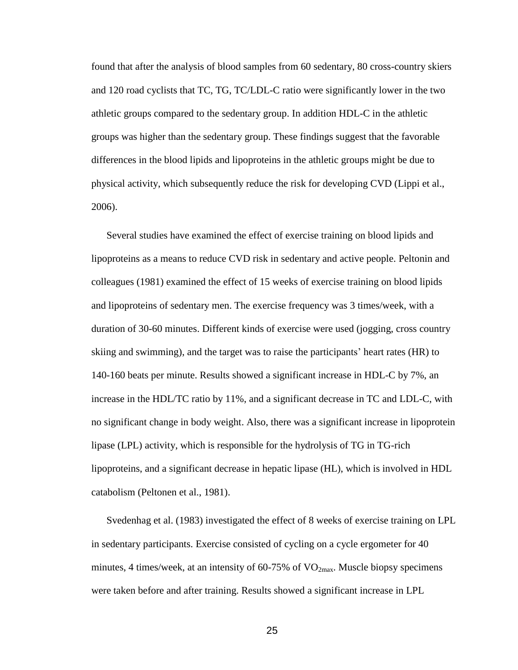found that after the analysis of blood samples from 60 sedentary, 80 cross-country skiers and 120 road cyclists that TC, TG, TC/LDL-C ratio were significantly lower in the two athletic groups compared to the sedentary group. In addition HDL-C in the athletic groups was higher than the sedentary group. These findings suggest that the favorable differences in the blood lipids and lipoproteins in the athletic groups might be due to physical activity, which subsequently reduce the risk for developing CVD (Lippi et al., 2006).

Several studies have examined the effect of exercise training on blood lipids and lipoproteins as a means to reduce CVD risk in sedentary and active people. Peltonin and colleagues (1981) examined the effect of 15 weeks of exercise training on blood lipids and lipoproteins of sedentary men. The exercise frequency was 3 times/week, with a duration of 30-60 minutes. Different kinds of exercise were used (jogging, cross country skiing and swimming), and the target was to raise the participants' heart rates (HR) to 140-160 beats per minute. Results showed a significant increase in HDL-C by 7%, an increase in the HDL/TC ratio by 11%, and a significant decrease in TC and LDL-C, with no significant change in body weight. Also, there was a significant increase in lipoprotein lipase (LPL) activity, which is responsible for the hydrolysis of TG in TG-rich lipoproteins, and a significant decrease in hepatic lipase (HL), which is involved in HDL catabolism (Peltonen et al., 1981).

Svedenhag et al. (1983) investigated the effect of 8 weeks of exercise training on LPL in sedentary participants. Exercise consisted of cycling on a cycle ergometer for 40 minutes, 4 times/week, at an intensity of  $60-75\%$  of  $VO<sub>2max</sub>$ . Muscle biopsy specimens were taken before and after training. Results showed a significant increase in LPL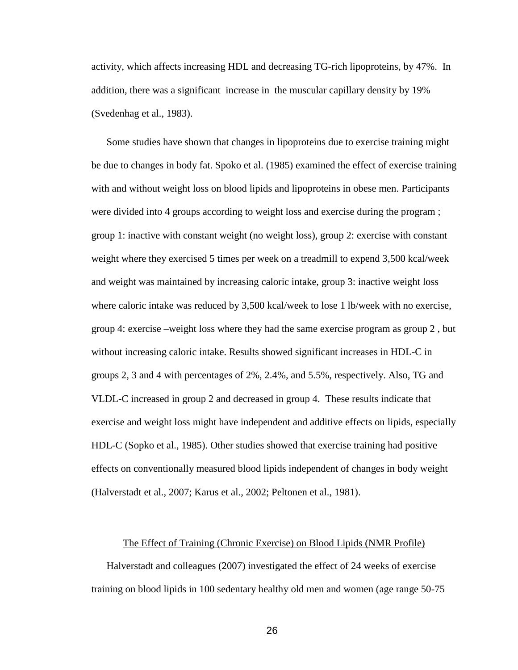activity, which affects increasing HDL and decreasing TG-rich lipoproteins, by 47%. In addition, there was a significant increase in the muscular capillary density by 19% (Svedenhag et al., 1983).

Some studies have shown that changes in lipoproteins due to exercise training might be due to changes in body fat. Spoko et al. (1985) examined the effect of exercise training with and without weight loss on blood lipids and lipoproteins in obese men. Participants were divided into 4 groups according to weight loss and exercise during the program ; group 1: inactive with constant weight (no weight loss), group 2: exercise with constant weight where they exercised 5 times per week on a treadmill to expend 3,500 kcal/week and weight was maintained by increasing caloric intake, group 3: inactive weight loss where caloric intake was reduced by 3,500 kcal/week to lose 1 lb/week with no exercise, group 4: exercise –weight loss where they had the same exercise program as group 2 , but without increasing caloric intake. Results showed significant increases in HDL-C in groups 2, 3 and 4 with percentages of 2%, 2.4%, and 5.5%, respectively. Also, TG and VLDL-C increased in group 2 and decreased in group 4. These results indicate that exercise and weight loss might have independent and additive effects on lipids, especially HDL-C (Sopko et al., 1985). Other studies showed that exercise training had positive effects on conventionally measured blood lipids independent of changes in body weight (Halverstadt et al., 2007; Karus et al., 2002; Peltonen et al., 1981).

#### The Effect of Training (Chronic Exercise) on Blood Lipids (NMR Profile)

Halverstadt and colleagues (2007) investigated the effect of 24 weeks of exercise training on blood lipids in 100 sedentary healthy old men and women (age range 50-75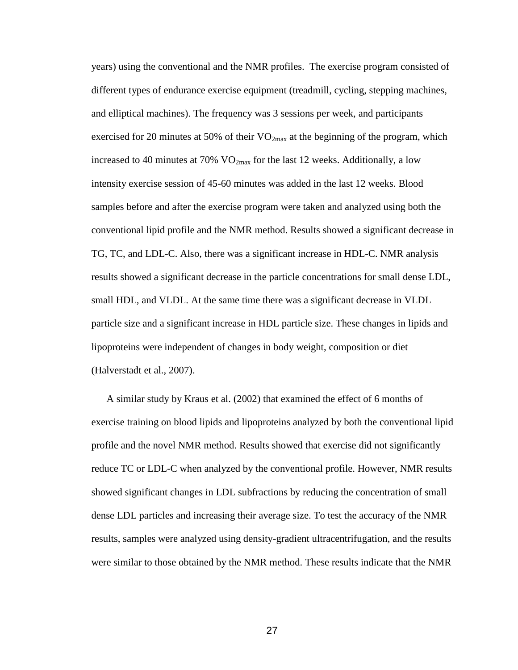years) using the conventional and the NMR profiles. The exercise program consisted of different types of endurance exercise equipment (treadmill, cycling, stepping machines, and elliptical machines). The frequency was 3 sessions per week, and participants exercised for 20 minutes at 50% of their  $VO_{2max}$  at the beginning of the program, which increased to 40 minutes at 70%  $VO_{2max}$  for the last 12 weeks. Additionally, a low intensity exercise session of 45-60 minutes was added in the last 12 weeks. Blood samples before and after the exercise program were taken and analyzed using both the conventional lipid profile and the NMR method. Results showed a significant decrease in TG, TC, and LDL-C. Also, there was a significant increase in HDL-C. NMR analysis results showed a significant decrease in the particle concentrations for small dense LDL, small HDL, and VLDL. At the same time there was a significant decrease in VLDL particle size and a significant increase in HDL particle size. These changes in lipids and lipoproteins were independent of changes in body weight, composition or diet (Halverstadt et al., 2007).

A similar study by Kraus et al. (2002) that examined the effect of 6 months of exercise training on blood lipids and lipoproteins analyzed by both the conventional lipid profile and the novel NMR method. Results showed that exercise did not significantly reduce TC or LDL-C when analyzed by the conventional profile. However, NMR results showed significant changes in LDL subfractions by reducing the concentration of small dense LDL particles and increasing their average size. To test the accuracy of the NMR results, samples were analyzed using density-gradient ultracentrifugation, and the results were similar to those obtained by the NMR method. These results indicate that the NMR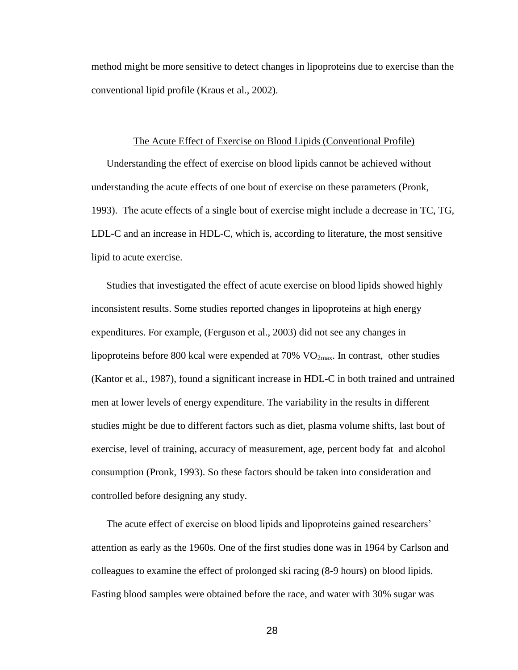method might be more sensitive to detect changes in lipoproteins due to exercise than the conventional lipid profile (Kraus et al., 2002).

#### The Acute Effect of Exercise on Blood Lipids (Conventional Profile)

Understanding the effect of exercise on blood lipids cannot be achieved without understanding the acute effects of one bout of exercise on these parameters (Pronk, 1993). The acute effects of a single bout of exercise might include a decrease in TC, TG, LDL-C and an increase in HDL-C, which is, according to literature, the most sensitive lipid to acute exercise.

Studies that investigated the effect of acute exercise on blood lipids showed highly inconsistent results. Some studies reported changes in lipoproteins at high energy expenditures. For example, (Ferguson et al., 2003) did not see any changes in lipoproteins before 800 kcal were expended at  $70\%$  VO<sub>2max</sub>. In contrast, other studies (Kantor et al., 1987), found a significant increase in HDL-C in both trained and untrained men at lower levels of energy expenditure. The variability in the results in different studies might be due to different factors such as diet, plasma volume shifts, last bout of exercise, level of training, accuracy of measurement, age, percent body fat and alcohol consumption (Pronk, 1993). So these factors should be taken into consideration and controlled before designing any study.

The acute effect of exercise on blood lipids and lipoproteins gained researchers' attention as early as the 1960s. One of the first studies done was in 1964 by Carlson and colleagues to examine the effect of prolonged ski racing (8-9 hours) on blood lipids. Fasting blood samples were obtained before the race, and water with 30% sugar was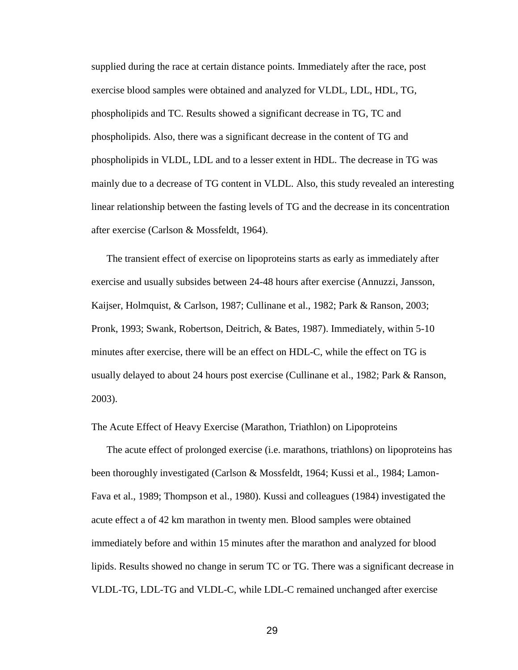supplied during the race at certain distance points. Immediately after the race, post exercise blood samples were obtained and analyzed for VLDL, LDL, HDL, TG, phospholipids and TC. Results showed a significant decrease in TG, TC and phospholipids. Also, there was a significant decrease in the content of TG and phospholipids in VLDL, LDL and to a lesser extent in HDL. The decrease in TG was mainly due to a decrease of TG content in VLDL. Also, this study revealed an interesting linear relationship between the fasting levels of TG and the decrease in its concentration after exercise (Carlson & Mossfeldt, 1964).

The transient effect of exercise on lipoproteins starts as early as immediately after exercise and usually subsides between 24-48 hours after exercise (Annuzzi, Jansson, Kaijser, Holmquist, & Carlson, 1987; Cullinane et al., 1982; Park & Ranson, 2003; Pronk, 1993; Swank, Robertson, Deitrich, & Bates, 1987). Immediately, within 5-10 minutes after exercise, there will be an effect on HDL-C, while the effect on TG is usually delayed to about 24 hours post exercise (Cullinane et al., 1982; Park & Ranson, 2003).

The Acute Effect of Heavy Exercise (Marathon, Triathlon) on Lipoproteins

The acute effect of prolonged exercise (i.e. marathons, triathlons) on lipoproteins has been thoroughly investigated (Carlson & Mossfeldt, 1964; Kussi et al., 1984; Lamon-Fava et al., 1989; Thompson et al., 1980). Kussi and colleagues (1984) investigated the acute effect a of 42 km marathon in twenty men. Blood samples were obtained immediately before and within 15 minutes after the marathon and analyzed for blood lipids. Results showed no change in serum TC or TG. There was a significant decrease in VLDL-TG, LDL-TG and VLDL-C, while LDL-C remained unchanged after exercise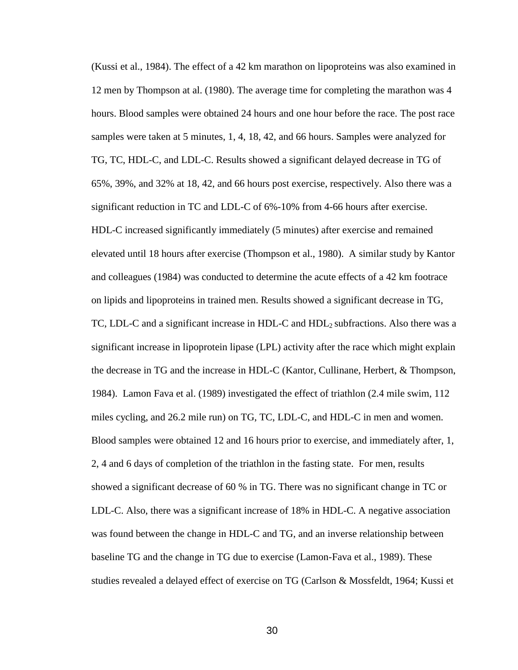(Kussi et al., 1984). The effect of a 42 km marathon on lipoproteins was also examined in 12 men by Thompson at al. (1980). The average time for completing the marathon was 4 hours. Blood samples were obtained 24 hours and one hour before the race. The post race samples were taken at 5 minutes, 1, 4, 18, 42, and 66 hours. Samples were analyzed for TG, TC, HDL-C, and LDL-C. Results showed a significant delayed decrease in TG of 65%, 39%, and 32% at 18, 42, and 66 hours post exercise, respectively. Also there was a significant reduction in TC and LDL-C of 6%-10% from 4-66 hours after exercise. HDL-C increased significantly immediately (5 minutes) after exercise and remained elevated until 18 hours after exercise (Thompson et al., 1980). A similar study by Kantor and colleagues (1984) was conducted to determine the acute effects of a 42 km footrace on lipids and lipoproteins in trained men. Results showed a significant decrease in TG, TC, LDL-C and a significant increase in HDL-C and  $HDL<sub>2</sub>$  subfractions. Also there was a significant increase in lipoprotein lipase (LPL) activity after the race which might explain the decrease in TG and the increase in HDL-C (Kantor, Cullinane, Herbert, & Thompson, 1984). Lamon Fava et al. (1989) investigated the effect of triathlon (2.4 mile swim, 112 miles cycling, and 26.2 mile run) on TG, TC, LDL-C, and HDL-C in men and women. Blood samples were obtained 12 and 16 hours prior to exercise, and immediately after, 1, 2, 4 and 6 days of completion of the triathlon in the fasting state. For men, results showed a significant decrease of 60 % in TG. There was no significant change in TC or LDL-C. Also, there was a significant increase of 18% in HDL-C. A negative association was found between the change in HDL-C and TG, and an inverse relationship between baseline TG and the change in TG due to exercise (Lamon-Fava et al., 1989). These studies revealed a delayed effect of exercise on TG (Carlson & Mossfeldt, 1964; Kussi et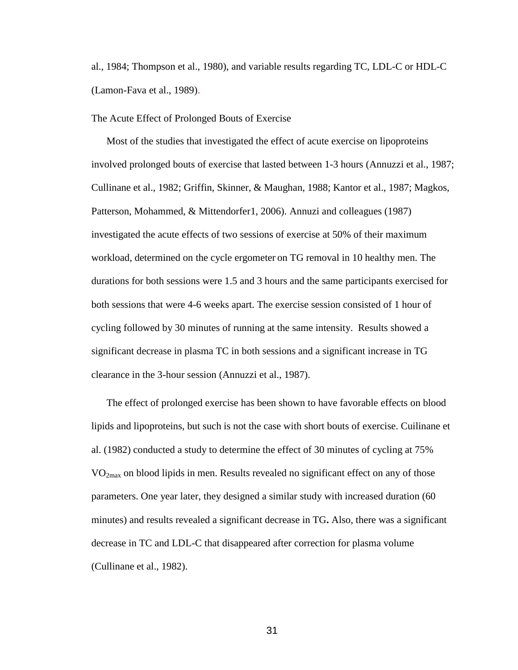al., 1984; Thompson et al., 1980), and variable results regarding TC, LDL-C or HDL-C (Lamon-Fava et al., 1989).

#### The Acute Effect of Prolonged Bouts of Exercise

Most of the studies that investigated the effect of acute exercise on lipoproteins involved prolonged bouts of exercise that lasted between 1-3 hours (Annuzzi et al., 1987; Cullinane et al., 1982; Griffin, Skinner, & Maughan, 1988; Kantor et al., 1987; Magkos, Patterson, Mohammed, & Mittendorfer1, 2006). Annuzi and colleagues (1987) investigated the acute effects of two sessions of exercise at 50% of their maximum workload, determined on the cycle ergometer on TG removal in 10 healthy men. The durations for both sessions were 1.5 and 3 hours and the same participants exercised for both sessions that were 4-6 weeks apart. The exercise session consisted of 1 hour of cycling followed by 30 minutes of running at the same intensity. Results showed a significant decrease in plasma TC in both sessions and a significant increase in TG clearance in the 3-hour session (Annuzzi et al., 1987).

The effect of prolonged exercise has been shown to have favorable effects on blood lipids and lipoproteins, but such is not the case with short bouts of exercise. Cuilinane et al. (1982) conducted a study to determine the effect of 30 minutes of cycling at 75% VO2max on blood lipids in men. Results revealed no significant effect on any of those parameters. One year later, they designed a similar study with increased duration (60 minutes) and results revealed a significant decrease in TG**.** Also, there was a significant decrease in TC and LDL-C that disappeared after correction for plasma volume (Cullinane et al., 1982).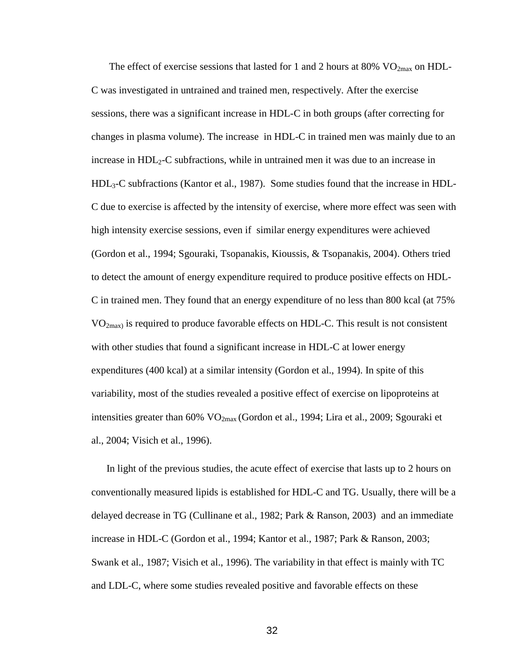The effect of exercise sessions that lasted for 1 and 2 hours at 80%  $VO_{2max}$  on HDL-C was investigated in untrained and trained men, respectively. After the exercise sessions, there was a significant increase in HDL-C in both groups (after correcting for changes in plasma volume). The increase in HDL-C in trained men was mainly due to an increase in  $HDL<sub>2</sub>-C$  subfractions, while in untrained men it was due to an increase in HDL3-C subfractions (Kantor et al., 1987). Some studies found that the increase in HDL-C due to exercise is affected by the intensity of exercise, where more effect was seen with high intensity exercise sessions, even if similar energy expenditures were achieved (Gordon et al., 1994; Sgouraki, Tsopanakis, Kioussis, & Tsopanakis, 2004). Others tried to detect the amount of energy expenditure required to produce positive effects on HDL-C in trained men. They found that an energy expenditure of no less than 800 kcal (at 75%  $VO<sub>2max</sub>$  is required to produce favorable effects on HDL-C. This result is not consistent with other studies that found a significant increase in HDL-C at lower energy expenditures (400 kcal) at a similar intensity (Gordon et al., 1994). In spite of this variability, most of the studies revealed a positive effect of exercise on lipoproteins at intensities greater than  $60\%$  VO<sub>2max</sub> (Gordon et al., 1994; Lira et al., 2009; Sgouraki et al., 2004; Visich et al., 1996).

In light of the previous studies, the acute effect of exercise that lasts up to 2 hours on conventionally measured lipids is established for HDL-C and TG. Usually, there will be a delayed decrease in TG (Cullinane et al., 1982; Park & Ranson, 2003) and an immediate increase in HDL-C (Gordon et al., 1994; Kantor et al., 1987; Park & Ranson, 2003; Swank et al., 1987; Visich et al., 1996). The variability in that effect is mainly with TC and LDL-C, where some studies revealed positive and favorable effects on these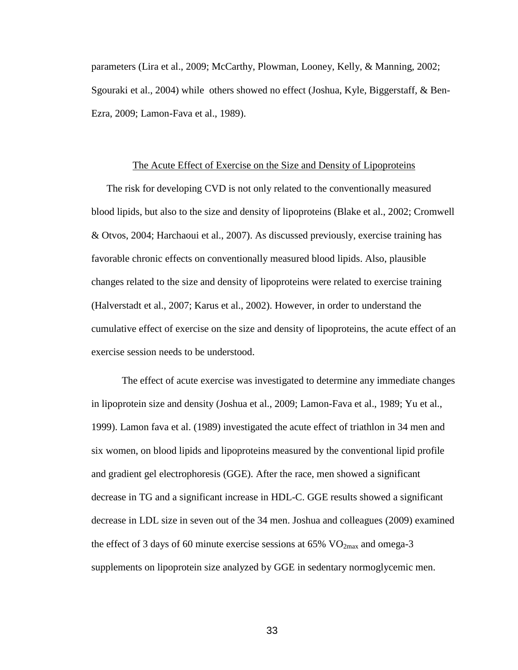parameters (Lira et al., 2009; McCarthy, Plowman, Looney, Kelly, & Manning, 2002; Sgouraki et al., 2004) while others showed no effect (Joshua, Kyle, Biggerstaff, & Ben-Ezra, 2009; Lamon-Fava et al., 1989).

#### The Acute Effect of Exercise on the Size and Density of Lipoproteins

The risk for developing CVD is not only related to the conventionally measured blood lipids, but also to the size and density of lipoproteins (Blake et al., 2002; Cromwell & Otvos, 2004; Harchaoui et al., 2007). As discussed previously, exercise training has favorable chronic effects on conventionally measured blood lipids. Also, plausible changes related to the size and density of lipoproteins were related to exercise training (Halverstadt et al., 2007; Karus et al., 2002). However, in order to understand the cumulative effect of exercise on the size and density of lipoproteins, the acute effect of an exercise session needs to be understood.

The effect of acute exercise was investigated to determine any immediate changes in lipoprotein size and density (Joshua et al., 2009; Lamon-Fava et al., 1989; Yu et al., 1999). Lamon fava et al. (1989) investigated the acute effect of triathlon in 34 men and six women, on blood lipids and lipoproteins measured by the conventional lipid profile and gradient gel electrophoresis (GGE). After the race, men showed a significant decrease in TG and a significant increase in HDL-C. GGE results showed a significant decrease in LDL size in seven out of the 34 men. Joshua and colleagues (2009) examined the effect of 3 days of 60 minute exercise sessions at 65%  $VO<sub>2max</sub>$  and omega-3 supplements on lipoprotein size analyzed by GGE in sedentary normoglycemic men.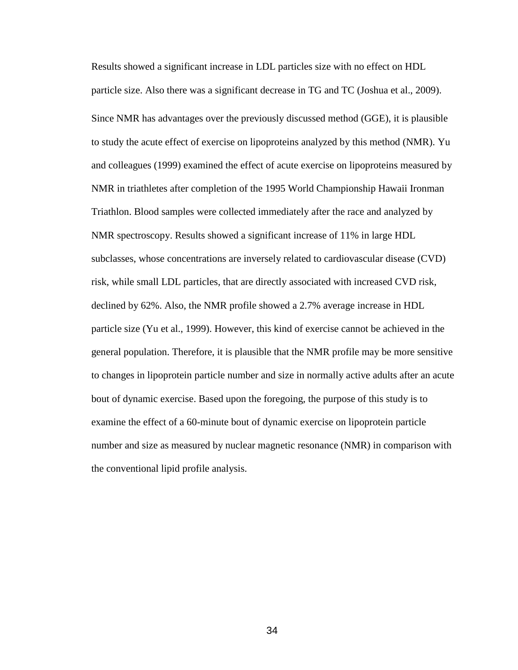Results showed a significant increase in LDL particles size with no effect on HDL particle size. Also there was a significant decrease in TG and TC (Joshua et al., 2009). Since NMR has advantages over the previously discussed method (GGE), it is plausible to study the acute effect of exercise on lipoproteins analyzed by this method (NMR). Yu and colleagues (1999) examined the effect of acute exercise on lipoproteins measured by NMR in triathletes after completion of the 1995 World Championship Hawaii Ironman Triathlon. Blood samples were collected immediately after the race and analyzed by NMR spectroscopy. Results showed a significant increase of 11% in large HDL subclasses, whose concentrations are inversely related to cardiovascular disease (CVD) risk, while small LDL particles, that are directly associated with increased CVD risk, declined by 62%. Also, the NMR profile showed a 2.7% average increase in HDL particle size (Yu et al., 1999). However, this kind of exercise cannot be achieved in the general population. Therefore, it is plausible that the NMR profile may be more sensitive to changes in lipoprotein particle number and size in normally active adults after an acute bout of dynamic exercise. Based upon the foregoing, the purpose of this study is to examine the effect of a 60-minute bout of dynamic exercise on lipoprotein particle number and size as measured by nuclear magnetic resonance (NMR) in comparison with the conventional lipid profile analysis.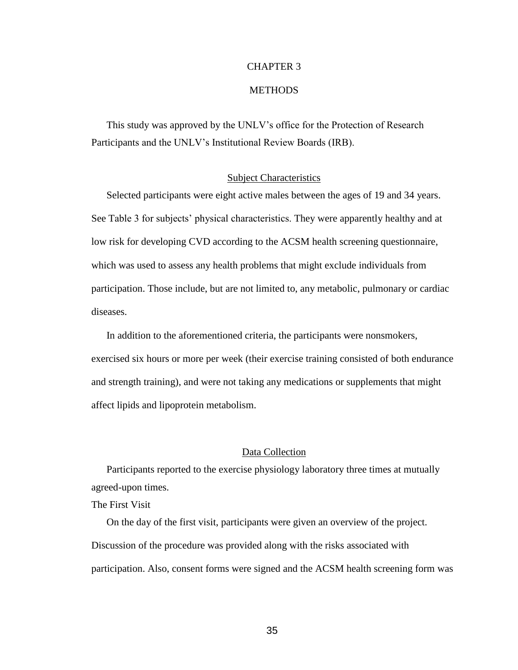# CHAPTER 3

### **METHODS**

This study was approved by the UNLV's office for the Protection of Research Participants and the UNLV's Institutional Review Boards (IRB).

## Subject Characteristics

Selected participants were eight active males between the ages of 19 and 34 years. See Table 3 for subjects' physical characteristics. They were apparently healthy and at low risk for developing CVD according to the ACSM health screening questionnaire, which was used to assess any health problems that might exclude individuals from participation. Those include, but are not limited to, any metabolic, pulmonary or cardiac diseases.

In addition to the aforementioned criteria, the participants were nonsmokers, exercised six hours or more per week (their exercise training consisted of both endurance and strength training), and were not taking any medications or supplements that might affect lipids and lipoprotein metabolism.

# Data Collection

Participants reported to the exercise physiology laboratory three times at mutually agreed-upon times.

The First Visit

On the day of the first visit, participants were given an overview of the project. Discussion of the procedure was provided along with the risks associated with participation. Also, consent forms were signed and the ACSM health screening form was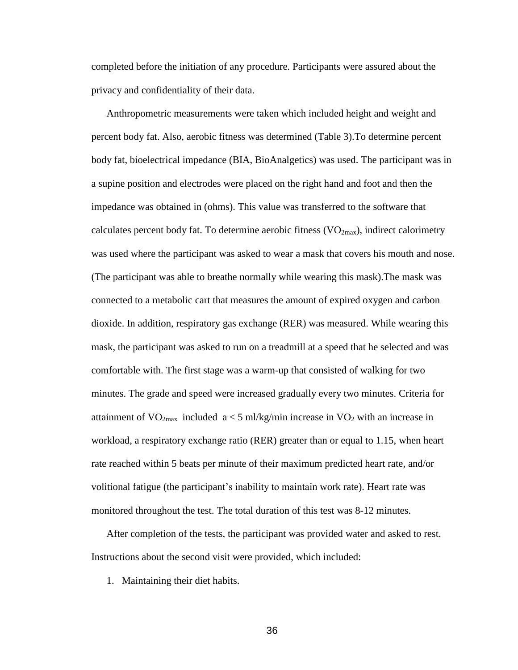completed before the initiation of any procedure. Participants were assured about the privacy and confidentiality of their data.

Anthropometric measurements were taken which included height and weight and percent body fat. Also, aerobic fitness was determined (Table 3).To determine percent body fat, bioelectrical impedance (BIA, BioAnalgetics) was used. The participant was in a supine position and electrodes were placed on the right hand and foot and then the impedance was obtained in (ohms). This value was transferred to the software that calculates percent body fat. To determine aerobic fitness  $(VO_{2max})$ , indirect calorimetry was used where the participant was asked to wear a mask that covers his mouth and nose. (The participant was able to breathe normally while wearing this mask).The mask was connected to a metabolic cart that measures the amount of expired oxygen and carbon dioxide. In addition, respiratory gas exchange (RER) was measured. While wearing this mask, the participant was asked to run on a treadmill at a speed that he selected and was comfortable with. The first stage was a warm-up that consisted of walking for two minutes. The grade and speed were increased gradually every two minutes. Criteria for attainment of  $VO_{2max}$  included  $a < 5$  ml/kg/min increase in  $VO_2$  with an increase in workload, a respiratory exchange ratio (RER) greater than or equal to 1.15, when heart rate reached within 5 beats per minute of their maximum predicted heart rate, and/or volitional fatigue (the participant's inability to maintain work rate). Heart rate was monitored throughout the test. The total duration of this test was 8-12 minutes.

After completion of the tests, the participant was provided water and asked to rest. Instructions about the second visit were provided, which included:

1. Maintaining their diet habits.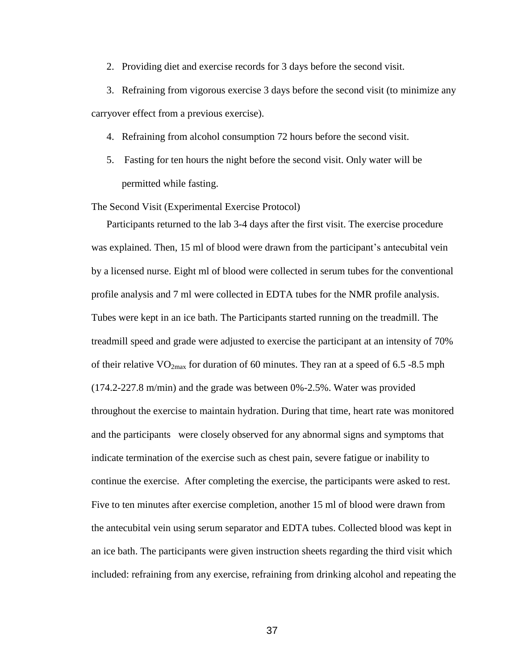2. Providing diet and exercise records for 3 days before the second visit.

3. Refraining from vigorous exercise 3 days before the second visit (to minimize any carryover effect from a previous exercise).

- 4. Refraining from alcohol consumption 72 hours before the second visit.
- 5. Fasting for ten hours the night before the second visit. Only water will be permitted while fasting.

The Second Visit (Experimental Exercise Protocol)

Participants returned to the lab 3-4 days after the first visit. The exercise procedure was explained. Then, 15 ml of blood were drawn from the participant's antecubital vein by a licensed nurse. Eight ml of blood were collected in serum tubes for the conventional profile analysis and 7 ml were collected in EDTA tubes for the NMR profile analysis. Tubes were kept in an ice bath. The Participants started running on the treadmill. The treadmill speed and grade were adjusted to exercise the participant at an intensity of 70% of their relative  $VO_{2max}$  for duration of 60 minutes. They ran at a speed of 6.5 -8.5 mph (174.2-227.8 m/min) and the grade was between 0%-2.5%. Water was provided throughout the exercise to maintain hydration. During that time, heart rate was monitored and the participants were closely observed for any abnormal signs and symptoms that indicate termination of the exercise such as chest pain, severe fatigue or inability to continue the exercise. After completing the exercise, the participants were asked to rest. Five to ten minutes after exercise completion, another 15 ml of blood were drawn from the antecubital vein using serum separator and EDTA tubes. Collected blood was kept in an ice bath. The participants were given instruction sheets regarding the third visit which included: refraining from any exercise, refraining from drinking alcohol and repeating the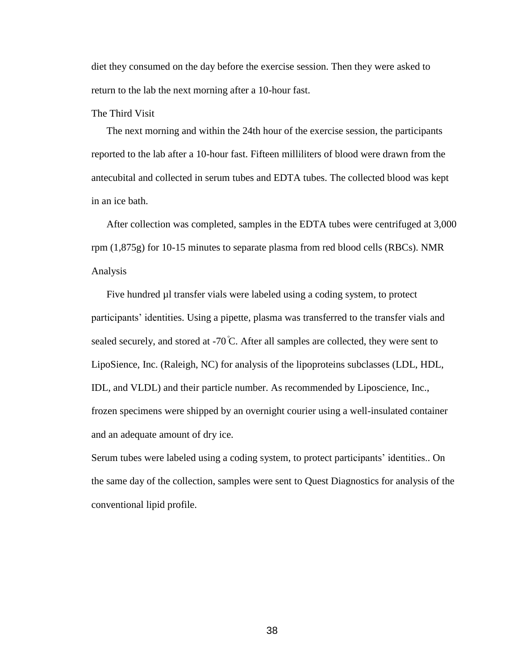diet they consumed on the day before the exercise session. Then they were asked to return to the lab the next morning after a 10-hour fast.

# The Third Visit

The next morning and within the 24th hour of the exercise session, the participants reported to the lab after a 10-hour fast. Fifteen milliliters of blood were drawn from the antecubital and collected in serum tubes and EDTA tubes. The collected blood was kept in an ice bath.

After collection was completed, samples in the EDTA tubes were centrifuged at 3,000 rpm (1,875g) for 10-15 minutes to separate plasma from red blood cells (RBCs). NMR Analysis

Five hundred µl transfer vials were labeled using a coding system, to protect participants' identities. Using a pipette, plasma was transferred to the transfer vials and sealed securely, and stored at  $-70^{\circ}$ C. After all samples are collected, they were sent to LipoSience, Inc. (Raleigh, NC) for analysis of the lipoproteins subclasses (LDL, HDL, IDL, and VLDL) and their particle number. As recommended by Liposcience, Inc., frozen specimens were shipped by an overnight courier using a well-insulated container and an adequate amount of dry ice.

Serum tubes were labeled using a coding system, to protect participants' identities.. On the same day of the collection, samples were sent to Quest Diagnostics for analysis of the conventional lipid profile.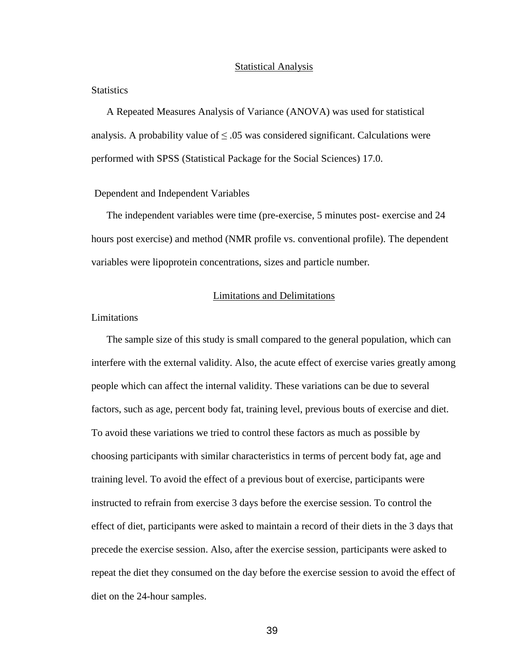#### Statistical Analysis

### **Statistics**

A Repeated Measures Analysis of Variance (ANOVA) was used for statistical analysis. A probability value of  $\leq 0.05$  was considered significant. Calculations were performed with SPSS (Statistical Package for the Social Sciences) 17.0.

## Dependent and Independent Variables

The independent variables were time (pre-exercise, 5 minutes post- exercise and 24 hours post exercise) and method (NMR profile vs. conventional profile). The dependent variables were lipoprotein concentrations, sizes and particle number*.*

## Limitations and Delimitations

#### Limitations

The sample size of this study is small compared to the general population, which can interfere with the external validity. Also, the acute effect of exercise varies greatly among people which can affect the internal validity. These variations can be due to several factors, such as age, percent body fat, training level, previous bouts of exercise and diet. To avoid these variations we tried to control these factors as much as possible by choosing participants with similar characteristics in terms of percent body fat, age and training level. To avoid the effect of a previous bout of exercise, participants were instructed to refrain from exercise 3 days before the exercise session. To control the effect of diet, participants were asked to maintain a record of their diets in the 3 days that precede the exercise session. Also, after the exercise session, participants were asked to repeat the diet they consumed on the day before the exercise session to avoid the effect of diet on the 24-hour samples.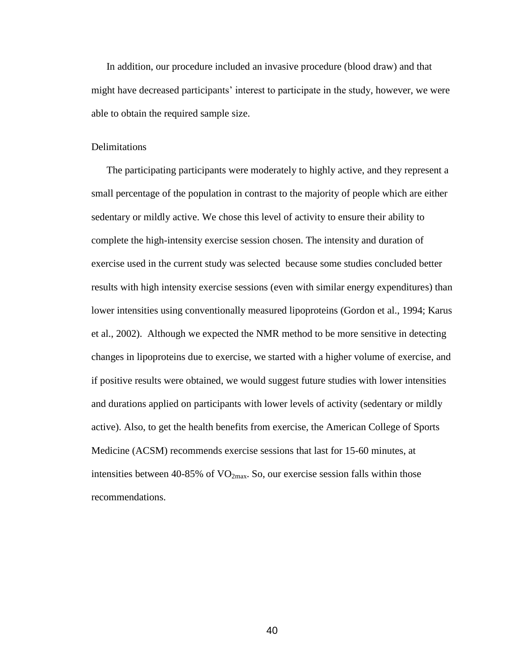In addition, our procedure included an invasive procedure (blood draw) and that might have decreased participants' interest to participate in the study, however, we were able to obtain the required sample size.

#### Delimitations

The participating participants were moderately to highly active, and they represent a small percentage of the population in contrast to the majority of people which are either sedentary or mildly active. We chose this level of activity to ensure their ability to complete the high-intensity exercise session chosen. The intensity and duration of exercise used in the current study was selected because some studies concluded better results with high intensity exercise sessions (even with similar energy expenditures) than lower intensities using conventionally measured lipoproteins (Gordon et al., 1994; Karus et al., 2002). Although we expected the NMR method to be more sensitive in detecting changes in lipoproteins due to exercise, we started with a higher volume of exercise, and if positive results were obtained, we would suggest future studies with lower intensities and durations applied on participants with lower levels of activity (sedentary or mildly active). Also, to get the health benefits from exercise, the American College of Sports Medicine (ACSM) recommends exercise sessions that last for 15-60 minutes, at intensities between 40-85% of  $VO<sub>2max</sub>$ . So, our exercise session falls within those recommendations.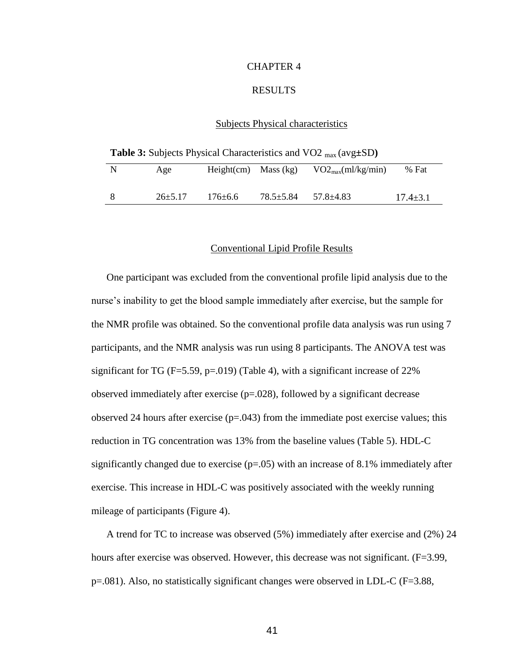# CHAPTER 4

#### RESULTS

## Subjects Physical characteristics

**Table 3:** Subjects Physical Characteristics and VO2 max (avg**±**SD**)**

| N | Age           | Height $(cm)$ Mass $(kg)$ |                 | $VO2_{max}(ml/kg/min)$ | % Fat          |
|---|---------------|---------------------------|-----------------|------------------------|----------------|
|   | $26 \pm 5.17$ | $176 \pm 6.6$             | $78.5 \pm 5.84$ | $57.8 \pm 4.83$        | $17.4 \pm 3.1$ |

### Conventional Lipid Profile Results

One participant was excluded from the conventional profile lipid analysis due to the nurse's inability to get the blood sample immediately after exercise, but the sample for the NMR profile was obtained. So the conventional profile data analysis was run using 7 participants, and the NMR analysis was run using 8 participants. The ANOVA test was significant for TG ( $F=5.59$ ,  $p=.019$ ) (Table 4), with a significant increase of 22% observed immediately after exercise (p=.028), followed by a significant decrease observed 24 hours after exercise  $(p=.043)$  from the immediate post exercise values; this reduction in TG concentration was 13% from the baseline values (Table 5). HDL-C significantly changed due to exercise  $(p=0.05)$  with an increase of 8.1% immediately after exercise. This increase in HDL-C was positively associated with the weekly running mileage of participants (Figure 4).

A trend for TC to increase was observed (5%) immediately after exercise and (2%) 24 hours after exercise was observed. However, this decrease was not significant. (F=3.99, p=.081). Also, no statistically significant changes were observed in LDL-C (F=3.88,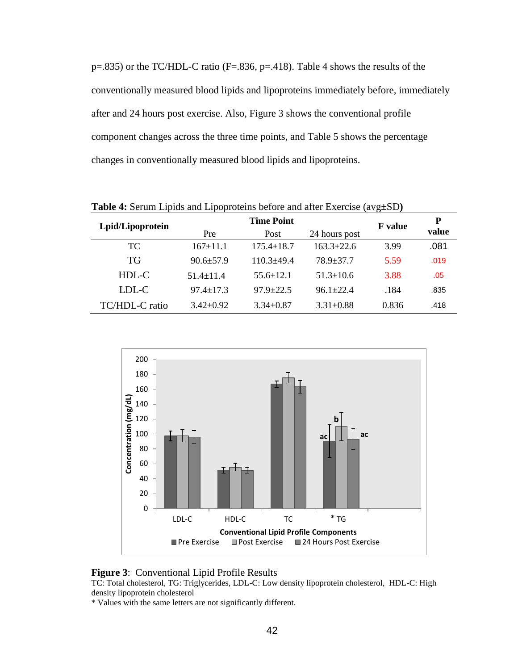$p=.835$ ) or the TC/HDL-C ratio (F=.836,  $p=.418$ ). Table 4 shows the results of the conventionally measured blood lipids and lipoproteins immediately before, immediately after and 24 hours post exercise. Also, Figure 3 shows the conventional profile component changes across the three time points, and Table 5 shows the percentage changes in conventionally measured blood lipids and lipoproteins.

| Lpid/Lipoprotein |                 | <b>F</b> value   | P                |       |       |
|------------------|-----------------|------------------|------------------|-------|-------|
|                  | Pre             | Post             | 24 hours post    |       | value |
| <b>TC</b>        | $167 \pm 11.1$  | $175.4 \pm 18.7$ | $163.3 \pm 22.6$ | 3.99  | .081  |
| <b>TG</b>        | $90.6 \pm 57.9$ | $110.3 + 49.4$   | $78.9 \pm 37.7$  | 5.59  | .019  |
| HDL-C            | $51.4 + 11.4$   | $55.6 \pm 12.1$  | $51.3 \pm 10.6$  | 3.88  | .05   |
| LDL-C            | $97.4 \pm 17.3$ | $97.9 \pm 22.5$  | $96.1 \pm 22.4$  | .184  | .835  |
| TC/HDL-C ratio   | $3.42 \pm 0.92$ | $3.34 \pm 0.87$  | $3.31 \pm 0.88$  | 0.836 | .418  |

**Table 4:** Serum Lipids and Lipoproteins before and after Exercise (avg**±**SD**)**



### **Figure 3**: Conventional Lipid Profile Results

TC: Total cholesterol, TG: Triglycerides, LDL-C: Low density lipoprotein cholesterol, HDL-C: High density lipoprotein cholesterol

\* Values with the same letters are not significantly different.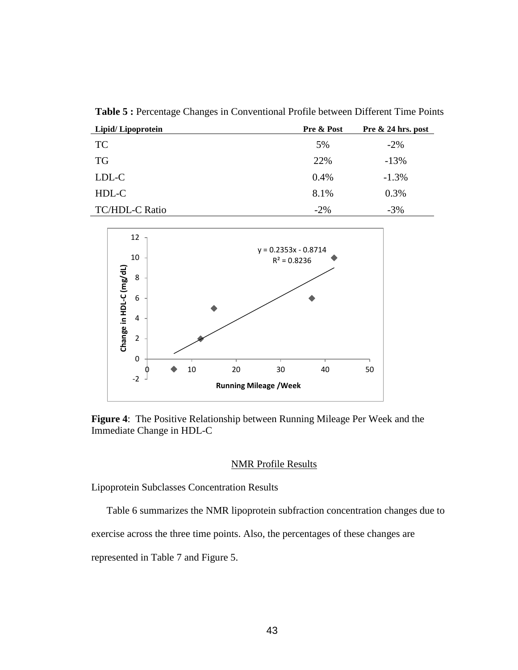**Table 5 :** Percentage Changes in Conventional Profile between Different Time Points

| Lipid/Lipoprotein     | Pre & Post | Pre $\&$ 24 hrs. post |  |
|-----------------------|------------|-----------------------|--|
| <b>TC</b>             | 5%         | $-2\%$                |  |
| <b>TG</b>             | 22%        | $-13%$                |  |
| LDL-C                 | $0.4\%$    | $-1.3%$               |  |
| HDL-C                 | 8.1%       | 0.3%                  |  |
| <b>TC/HDL-C Ratio</b> | $-2\%$     | $-3%$                 |  |



**Figure 4**: The Positive Relationship between Running Mileage Per Week and the Immediate Change in HDL-C

#### NMR Profile Results

Lipoprotein Subclasses Concentration Results

Table 6 summarizes the NMR lipoprotein subfraction concentration changes due to

exercise across the three time points. Also, the percentages of these changes are

represented in Table 7 and Figure 5.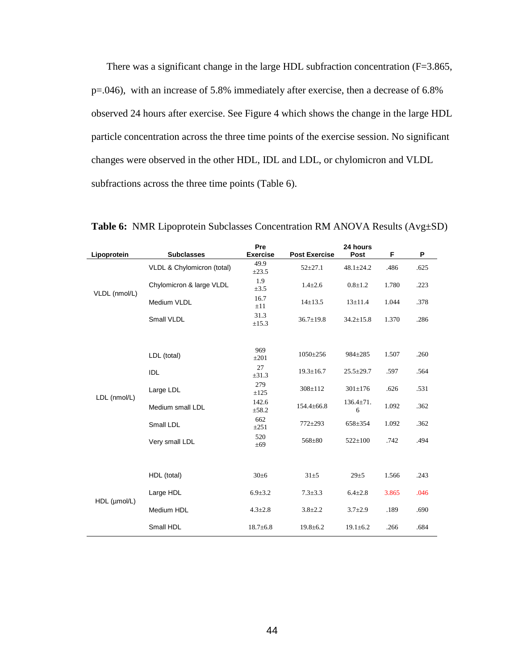There was a significant change in the large HDL subfraction concentration (F=3.865, p=.046), with an increase of 5.8% immediately after exercise, then a decrease of 6.8% observed 24 hours after exercise. See Figure 4 which shows the change in the large HDL particle concentration across the three time points of the exercise session. No significant changes were observed in the other HDL, IDL and LDL, or chylomicron and VLDL subfractions across the three time points (Table 6).

| Lipoprotein   | <b>Subclasses</b>          | Pre<br><b>Exercise</b> | <b>Post Exercise</b> | 24 hours<br>Post     | F     | P    |
|---------------|----------------------------|------------------------|----------------------|----------------------|-------|------|
|               | VLDL & Chylomicron (total) | 49.9<br>$\pm 23.5$     | $52 + 27.1$          | $48.1 \pm 24.2$      | .486  | .625 |
|               | Chylomicron & large VLDL   | 1.9<br>$\pm 3.5$       | $1.4 \pm 2.6$        | $0.8 + 1.2$          | 1.780 | .223 |
| VLDL (nmol/L) | Medium VLDL                | 16.7<br>$\pm 11$       | $14 \pm 13.5$        | $13 \pm 11.4$        | 1.044 | .378 |
|               | Small VLDL                 | 31.3<br>$\pm 15.3$     | $36.7 \pm 19.8$      | $34.2 \pm 15.8$      | 1.370 | .286 |
|               |                            |                        |                      |                      |       |      |
|               | LDL (total)                | 969<br>$\pm 201$       | $1050 \pm 256$       | 984±285              | 1.507 | .260 |
|               | IDL                        | 27<br>$\pm 31.3$       | $19.3 \pm 16.7$      | $25.5 \pm 29.7$      | .597  | .564 |
|               | Large LDL                  | 279<br>$\pm 125$       | $308 \pm 112$        | $301 \pm 176$        | .626  | .531 |
| LDL (nmol/L)  | Medium small LDL           | 142.6<br>±58.2         | $154.4 \pm 66.8$     | $136.4 \pm 71.$<br>6 | 1.092 | .362 |
|               | Small LDL                  | 662<br>$\pm 251$       | $772 + 293$          | 658±354              | 1.092 | .362 |
|               | Very small LDL             | 520<br>±69             | 568±80               | $522 \pm 100$        | .742  | .494 |
|               |                            |                        |                      |                      |       |      |
|               | HDL (total)                | $30\pm 6$              | $31\pm5$             | $29 \pm 5$           | 1.566 | .243 |
|               | Large HDL                  | $6.9 \pm 3.2$          | $7.3 \pm 3.3$        | $6.4 \pm 2.8$        | 3.865 | .046 |
| HDL (µmol/L)  | Medium HDL                 | $4.3 \pm 2.8$          | $3.8 \pm 2.2$        | $3.7 \pm 2.9$        | .189  | .690 |
|               | Small HDL                  | $18.7 \pm 6.8$         | $19.8 \pm 6.2$       | $19.1 \pm 6.2$       | .266  | .684 |

**Table 6:** NMR Lipoprotein Subclasses Concentration RM ANOVA Results (Avg±SD)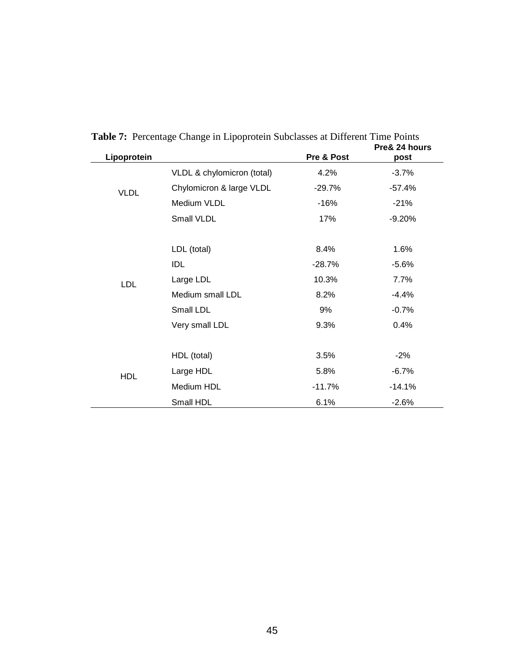| Lipoprotein |                            | Pre & Post | Pre& 24 hours<br>post |
|-------------|----------------------------|------------|-----------------------|
|             | VLDL & chylomicron (total) | 4.2%       | $-3.7%$               |
| <b>VLDL</b> | Chylomicron & large VLDL   | $-29.7%$   | $-57.4%$              |
|             | Medium VLDL                | $-16%$     | $-21%$                |
|             | Small VLDL                 | 17%        | $-9.20%$              |
|             |                            |            |                       |
|             | LDL (total)                | 8.4%       | 1.6%                  |
|             | <b>IDL</b>                 | $-28.7%$   | $-5.6%$               |
| <b>LDL</b>  | Large LDL                  | 10.3%      | 7.7%                  |
|             | Medium small LDL           | 8.2%       | $-4.4%$               |
|             | Small LDL                  | 9%         | $-0.7%$               |
|             | Very small LDL             | 9.3%       | 0.4%                  |
|             |                            |            |                       |
|             | HDL (total)                | 3.5%       | $-2%$                 |
| <b>HDL</b>  | Large HDL                  | 5.8%       | $-6.7%$               |
|             | Medium HDL                 | $-11.7%$   | $-14.1%$              |
|             | Small HDL                  | 6.1%       | $-2.6%$               |

**Table 7:** Percentage Change in Lipoprotein Subclasses at Different Time Points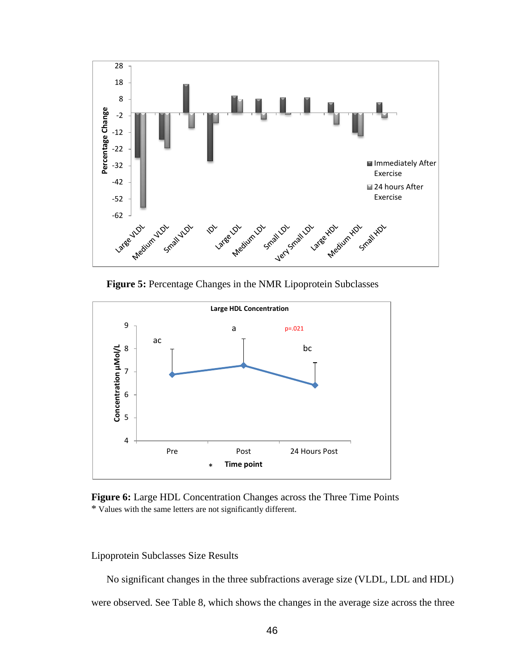

**Figure 5:** Percentage Changes in the NMR Lipoprotein Subclasses



**Figure 6:** Large HDL Concentration Changes across the Three Time Points \* Values with the same letters are not significantly different.

Lipoprotein Subclasses Size Results

No significant changes in the three subfractions average size (VLDL, LDL and HDL)

were observed. See Table 8, which shows the changes in the average size across the three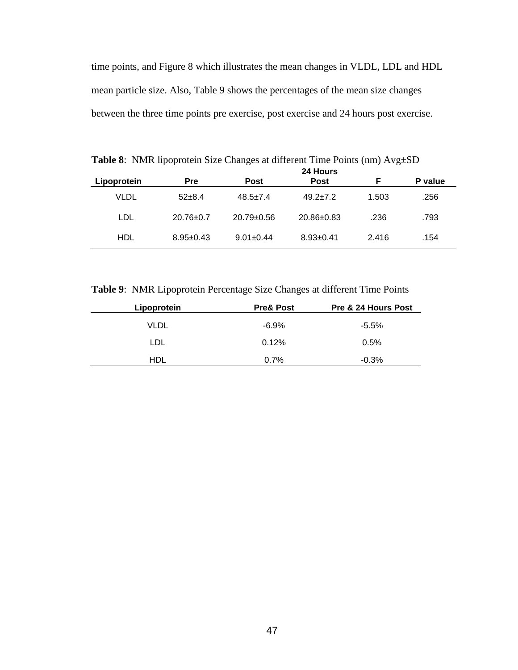time points, and Figure 8 which illustrates the mean changes in VLDL, LDL and HDL mean particle size. Also, Table 9 shows the percentages of the mean size changes between the three time points pre exercise, post exercise and 24 hours post exercise.

|             |                 |                  | 24 Hours         |       |         |
|-------------|-----------------|------------------|------------------|-------|---------|
| Lipoprotein | <b>Pre</b>      | <b>Post</b>      | <b>Post</b>      | Е     | P value |
| VLDL        | $52+8.4$        | $48.5 \pm 7.4$   | $49.2 \pm 7.2$   | 1.503 | .256    |
| LDL         | $20.76 \pm 0.7$ | $20.79 \pm 0.56$ | $20.86 \pm 0.83$ | .236  | .793    |
| HDL         | $8.95 \pm 0.43$ | $9.01 \pm 0.44$  | $8.93 \pm 0.41$  | 2.416 | .154    |

**Table 8**: NMR lipoprotein Size Changes at different Time Points (nm) Avg±SD

**Table 9**: NMR Lipoprotein Percentage Size Changes at different Time Points

| Lipoprotein | <b>Pre&amp; Post</b> | Pre & 24 Hours Post |
|-------------|----------------------|---------------------|
| VLDL        | -6.9%                | $-5.5%$             |
| LDL         | 0.12%                | 0.5%                |
| HDL         | 0.7%                 | $-0.3%$             |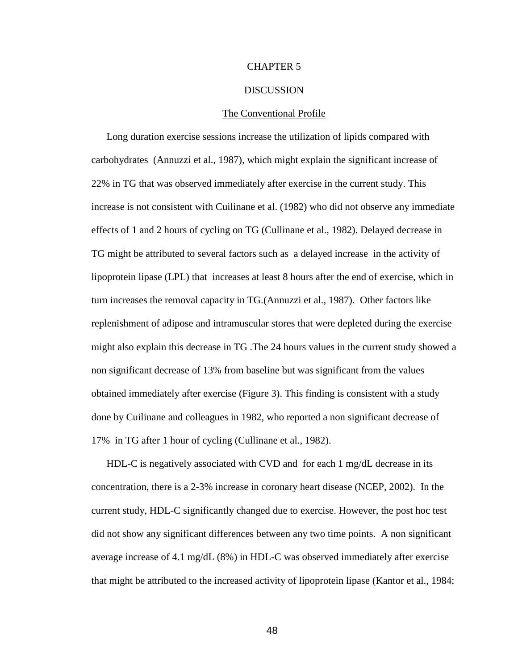## CHAPTER 5

#### **DISCUSSION**

#### The Conventional Profile

Long duration exercise sessions increase the utilization of lipids compared with carbohydrates (Annuzzi et al., 1987), which might explain the significant increase of 22% in TG that was observed immediately after exercise in the current study. This increase is not consistent with Cuilinane et al. (1982) who did not observe any immediate effects of 1 and 2 hours of cycling on TG (Cullinane et al., 1982). Delayed decrease in TG might be attributed to several factors such as a delayed increase in the activity of lipoprotein lipase (LPL) that increases at least 8 hours after the end of exercise, which in turn increases the removal capacity in TG.(Annuzzi et al., 1987). Other factors like replenishment of adipose and intramuscular stores that were depleted during the exercise might also explain this decrease in TG .The 24 hours values in the current study showed a non significant decrease of 13% from baseline but was significant from the values obtained immediately after exercise (Figure 3). This finding is consistent with a study done by Cuilinane and colleagues in 1982, who reported a non significant decrease of 17% in TG after 1 hour of cycling (Cullinane et al., 1982).

HDL-C is negatively associated with CVD and for each 1 mg/dL decrease in its concentration, there is a 2-3% increase in coronary heart disease (NCEP, 2002). In the current study, HDL-C significantly changed due to exercise. However, the post hoc test did not show any significant differences between any two time points. A non significant average increase of 4.1 mg/dL (8%) in HDL-C was observed immediately after exercise that might be attributed to the increased activity of lipoprotein lipase (Kantor et al., 1984;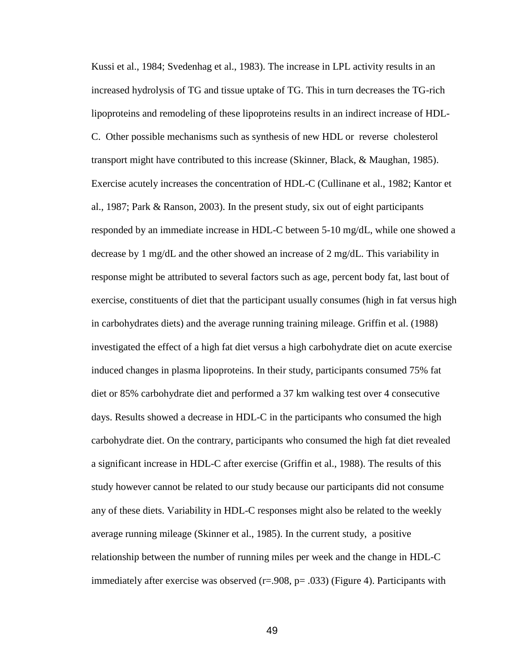Kussi et al., 1984; Svedenhag et al., 1983). The increase in LPL activity results in an increased hydrolysis of TG and tissue uptake of TG. This in turn decreases the TG-rich lipoproteins and remodeling of these lipoproteins results in an indirect increase of HDL-C. Other possible mechanisms such as synthesis of new HDL or reverse cholesterol transport might have contributed to this increase (Skinner, Black, & Maughan, 1985). Exercise acutely increases the concentration of HDL-C (Cullinane et al., 1982; Kantor et al., 1987; Park & Ranson, 2003). In the present study, six out of eight participants responded by an immediate increase in HDL-C between 5-10 mg/dL, while one showed a decrease by 1 mg/dL and the other showed an increase of 2 mg/dL. This variability in response might be attributed to several factors such as age, percent body fat, last bout of exercise, constituents of diet that the participant usually consumes (high in fat versus high in carbohydrates diets) and the average running training mileage. Griffin et al. (1988) investigated the effect of a high fat diet versus a high carbohydrate diet on acute exercise induced changes in plasma lipoproteins. In their study, participants consumed 75% fat diet or 85% carbohydrate diet and performed a 37 km walking test over 4 consecutive days. Results showed a decrease in HDL-C in the participants who consumed the high carbohydrate diet. On the contrary, participants who consumed the high fat diet revealed a significant increase in HDL-C after exercise (Griffin et al., 1988). The results of this study however cannot be related to our study because our participants did not consume any of these diets. Variability in HDL-C responses might also be related to the weekly average running mileage (Skinner et al., 1985). In the current study, a positive relationship between the number of running miles per week and the change in HDL-C immediately after exercise was observed  $(r=.908, p=.033)$  (Figure 4). Participants with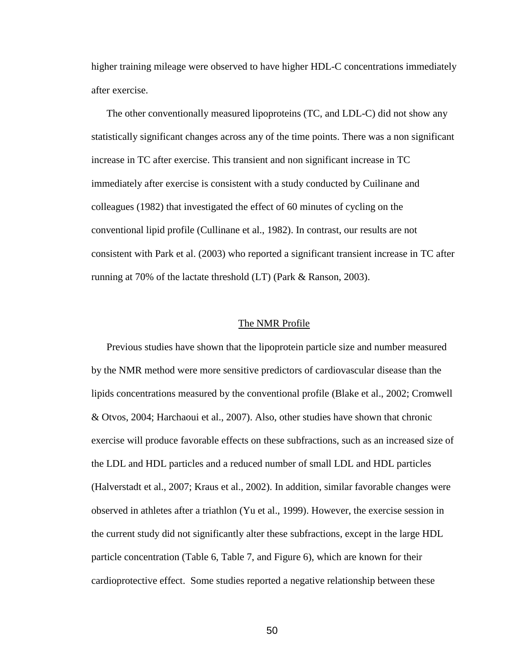higher training mileage were observed to have higher HDL-C concentrations immediately after exercise.

The other conventionally measured lipoproteins (TC, and LDL-C) did not show any statistically significant changes across any of the time points. There was a non significant increase in TC after exercise. This transient and non significant increase in TC immediately after exercise is consistent with a study conducted by Cuilinane and colleagues (1982) that investigated the effect of 60 minutes of cycling on the conventional lipid profile (Cullinane et al., 1982). In contrast, our results are not consistent with Park et al. (2003) who reported a significant transient increase in TC after running at 70% of the lactate threshold (LT) (Park & Ranson, 2003).

#### The NMR Profile

Previous studies have shown that the lipoprotein particle size and number measured by the NMR method were more sensitive predictors of cardiovascular disease than the lipids concentrations measured by the conventional profile (Blake et al., 2002; Cromwell & Otvos, 2004; Harchaoui et al., 2007). Also, other studies have shown that chronic exercise will produce favorable effects on these subfractions, such as an increased size of the LDL and HDL particles and a reduced number of small LDL and HDL particles (Halverstadt et al., 2007; Kraus et al., 2002). In addition, similar favorable changes were observed in athletes after a triathlon (Yu et al., 1999). However, the exercise session in the current study did not significantly alter these subfractions, except in the large HDL particle concentration (Table 6, Table 7, and Figure 6), which are known for their cardioprotective effect. Some studies reported a negative relationship between these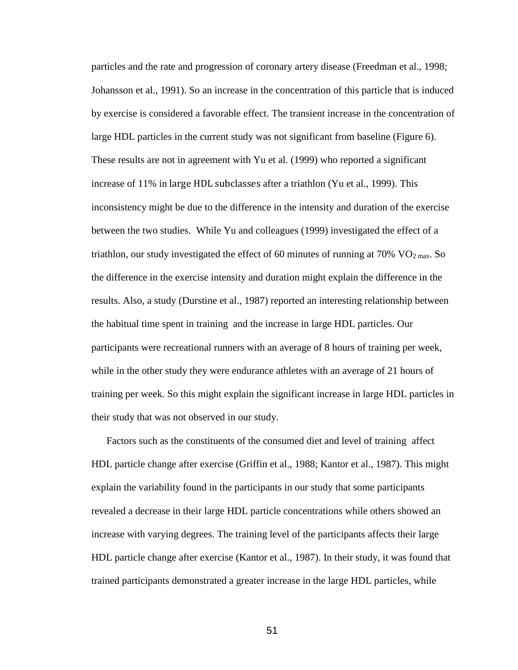particles and the rate and progression of coronary artery disease (Freedman et al., 1998; Johansson et al., 1991). So an increase in the concentration of this particle that is induced by exercise is considered a favorable effect. The transient increase in the concentration of large HDL particles in the current study was not significant from baseline (Figure 6). These results are not in agreement with Yu et al. (1999) who reported a significant increase of 11% in large HDL subclasses after a triathlon (Yu et al., 1999). This inconsistency might be due to the difference in the intensity and duration of the exercise between the two studies. While Yu and colleagues (1999) investigated the effect of a triathlon, our study investigated the effect of 60 minutes of running at 70%  $\rm VO_{2 \, max}$ . So the difference in the exercise intensity and duration might explain the difference in the results. Also, a study (Durstine et al., 1987) reported an interesting relationship between the habitual time spent in training and the increase in large HDL particles. Our participants were recreational runners with an average of 8 hours of training per week, while in the other study they were endurance athletes with an average of 21 hours of training per week. So this might explain the significant increase in large HDL particles in their study that was not observed in our study.

Factors such as the constituents of the consumed diet and level of training affect HDL particle change after exercise (Griffin et al., 1988; Kantor et al., 1987). This might explain the variability found in the participants in our study that some participants revealed a decrease in their large HDL particle concentrations while others showed an increase with varying degrees. The training level of the participants affects their large HDL particle change after exercise (Kantor et al., 1987). In their study, it was found that trained participants demonstrated a greater increase in the large HDL particles, while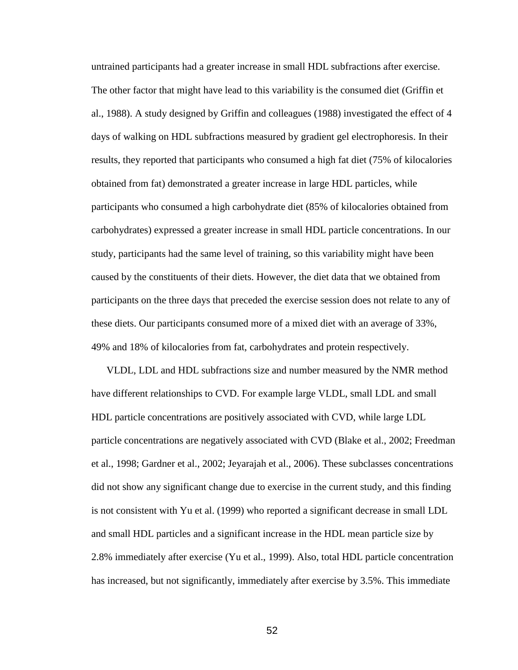untrained participants had a greater increase in small HDL subfractions after exercise. The other factor that might have lead to this variability is the consumed diet (Griffin et al., 1988). A study designed by Griffin and colleagues (1988) investigated the effect of 4 days of walking on HDL subfractions measured by gradient gel electrophoresis. In their results, they reported that participants who consumed a high fat diet (75% of kilocalories obtained from fat) demonstrated a greater increase in large HDL particles, while participants who consumed a high carbohydrate diet (85% of kilocalories obtained from carbohydrates) expressed a greater increase in small HDL particle concentrations. In our study, participants had the same level of training, so this variability might have been caused by the constituents of their diets. However, the diet data that we obtained from participants on the three days that preceded the exercise session does not relate to any of these diets. Our participants consumed more of a mixed diet with an average of 33%, 49% and 18% of kilocalories from fat, carbohydrates and protein respectively.

VLDL, LDL and HDL subfractions size and number measured by the NMR method have different relationships to CVD. For example large VLDL, small LDL and small HDL particle concentrations are positively associated with CVD, while large LDL particle concentrations are negatively associated with CVD (Blake et al., 2002; Freedman et al., 1998; Gardner et al., 2002; Jeyarajah et al., 2006). These subclasses concentrations did not show any significant change due to exercise in the current study, and this finding is not consistent with Yu et al. (1999) who reported a significant decrease in small LDL and small HDL particles and a significant increase in the HDL mean particle size by 2.8% immediately after exercise (Yu et al., 1999). Also, total HDL particle concentration has increased, but not significantly, immediately after exercise by 3.5%. This immediate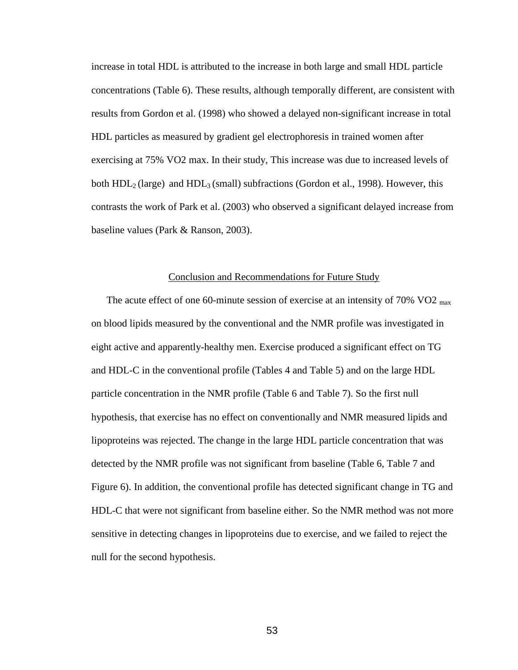increase in total HDL is attributed to the increase in both large and small HDL particle concentrations (Table 6). These results, although temporally different, are consistent with results from Gordon et al. (1998) who showed a delayed non-significant increase in total HDL particles as measured by gradient gel electrophoresis in trained women after exercising at 75% VO2 max. In their study, This increase was due to increased levels of both  $HDL<sub>2</sub>$  (large) and  $HDL<sub>3</sub>$  (small) subfractions (Gordon et al., 1998). However, this contrasts the work of Park et al. (2003) who observed a significant delayed increase from baseline values (Park & Ranson, 2003).

#### Conclusion and Recommendations for Future Study

The acute effect of one 60-minute session of exercise at an intensity of 70% VO2  $_{\text{max}}$ on blood lipids measured by the conventional and the NMR profile was investigated in eight active and apparently-healthy men. Exercise produced a significant effect on TG and HDL-C in the conventional profile (Tables 4 and Table 5) and on the large HDL particle concentration in the NMR profile (Table 6 and Table 7). So the first null hypothesis, that exercise has no effect on conventionally and NMR measured lipids and lipoproteins was rejected. The change in the large HDL particle concentration that was detected by the NMR profile was not significant from baseline (Table 6, Table 7 and Figure 6). In addition, the conventional profile has detected significant change in TG and HDL-C that were not significant from baseline either. So the NMR method was not more sensitive in detecting changes in lipoproteins due to exercise, and we failed to reject the null for the second hypothesis.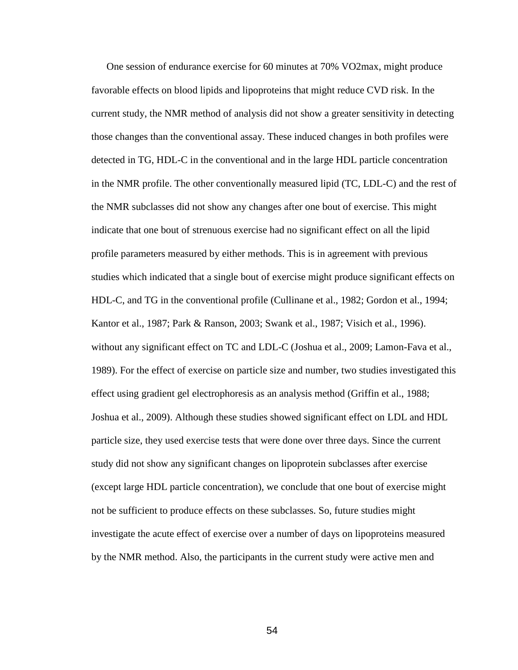One session of endurance exercise for 60 minutes at 70% VO2max, might produce favorable effects on blood lipids and lipoproteins that might reduce CVD risk. In the current study, the NMR method of analysis did not show a greater sensitivity in detecting those changes than the conventional assay. These induced changes in both profiles were detected in TG, HDL-C in the conventional and in the large HDL particle concentration in the NMR profile. The other conventionally measured lipid (TC, LDL-C) and the rest of the NMR subclasses did not show any changes after one bout of exercise. This might indicate that one bout of strenuous exercise had no significant effect on all the lipid profile parameters measured by either methods. This is in agreement with previous studies which indicated that a single bout of exercise might produce significant effects on HDL-C, and TG in the conventional profile (Cullinane et al., 1982; Gordon et al., 1994; Kantor et al., 1987; Park & Ranson, 2003; Swank et al., 1987; Visich et al., 1996). without any significant effect on TC and LDL-C (Joshua et al., 2009; Lamon-Fava et al., 1989). For the effect of exercise on particle size and number, two studies investigated this effect using gradient gel electrophoresis as an analysis method (Griffin et al., 1988; Joshua et al., 2009). Although these studies showed significant effect on LDL and HDL particle size, they used exercise tests that were done over three days. Since the current study did not show any significant changes on lipoprotein subclasses after exercise (except large HDL particle concentration), we conclude that one bout of exercise might not be sufficient to produce effects on these subclasses. So, future studies might investigate the acute effect of exercise over a number of days on lipoproteins measured by the NMR method. Also, the participants in the current study were active men and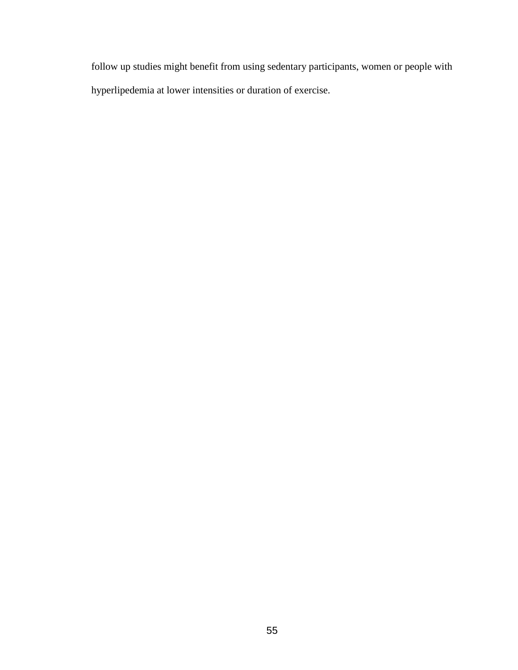follow up studies might benefit from using sedentary participants, women or people with hyperlipedemia at lower intensities or duration of exercise.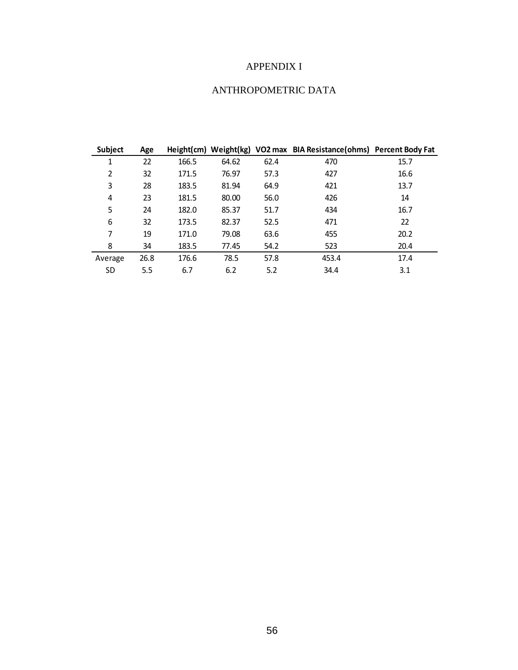# APPENDIX I

# ANTHROPOMETRIC DATA

| Subject   | Age  |       |       |      | Height(cm) Weight(kg) VO2 max BIA Resistance(ohms) Percent Body Fat |      |
|-----------|------|-------|-------|------|---------------------------------------------------------------------|------|
| 1         | 22   | 166.5 | 64.62 | 62.4 | 470                                                                 | 15.7 |
| 2         | 32   | 171.5 | 76.97 | 57.3 | 427                                                                 | 16.6 |
| 3         | 28   | 183.5 | 81.94 | 64.9 | 421                                                                 | 13.7 |
| 4         | 23   | 181.5 | 80.00 | 56.0 | 426                                                                 | 14   |
| 5         | 24   | 182.0 | 85.37 | 51.7 | 434                                                                 | 16.7 |
| 6         | 32   | 173.5 | 82.37 | 52.5 | 471                                                                 | 22   |
| 7         | 19   | 171.0 | 79.08 | 63.6 | 455                                                                 | 20.2 |
| 8         | 34   | 183.5 | 77.45 | 54.2 | 523                                                                 | 20.4 |
| Average   | 26.8 | 176.6 | 78.5  | 57.8 | 453.4                                                               | 17.4 |
| <b>SD</b> | 5.5  | 6.7   | 6.2   | 5.2  | 34.4                                                                | 3.1  |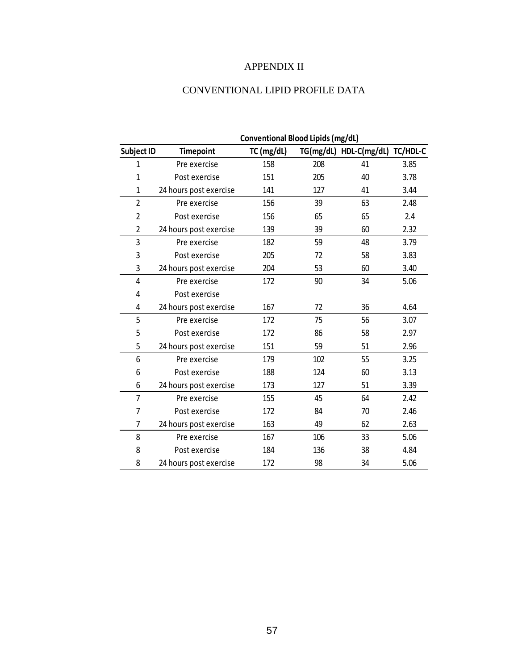# APPENDIX II

# CONVENTIONAL LIPID PROFILE DATA

|                   |                        | Conventional Blood Lipids (mg/dL) |           |              |          |
|-------------------|------------------------|-----------------------------------|-----------|--------------|----------|
| <b>Subject ID</b> | <b>Timepoint</b>       | TC (mg/dL)                        | TG(mg/dL) | HDL-C(mg/dL) | TC/HDL-C |
| $\mathbf{1}$      | Pre exercise           | 158                               | 208       | 41           | 3.85     |
| 1                 | Post exercise          | 151                               | 205       | 40           | 3.78     |
| $\mathbf{1}$      | 24 hours post exercise | 141                               | 127       | 41           | 3.44     |
| $\overline{2}$    | Pre exercise           | 156                               | 39        | 63           | 2.48     |
| $\overline{2}$    | Post exercise          | 156                               | 65        | 65           | 2.4      |
| 2                 | 24 hours post exercise | 139                               | 39        | 60           | 2.32     |
| 3                 | Pre exercise           | 182                               | 59        | 48           | 3.79     |
| 3                 | Post exercise          | 205                               | 72        | 58           | 3.83     |
| 3                 | 24 hours post exercise | 204                               | 53        | 60           | 3.40     |
| 4                 | Pre exercise           | 172                               | 90        | 34           | 5.06     |
| 4                 | Post exercise          |                                   |           |              |          |
| 4                 | 24 hours post exercise | 167                               | 72        | 36           | 4.64     |
| 5                 | Pre exercise           | 172                               | 75        | 56           | 3.07     |
| 5                 | Post exercise          | 172                               | 86        | 58           | 2.97     |
| 5                 | 24 hours post exercise | 151                               | 59        | 51           | 2.96     |
| 6                 | Pre exercise           | 179                               | 102       | 55           | 3.25     |
| 6                 | Post exercise          | 188                               | 124       | 60           | 3.13     |
| 6                 | 24 hours post exercise | 173                               | 127       | 51           | 3.39     |
| 7                 | Pre exercise           | 155                               | 45        | 64           | 2.42     |
| 7                 | Post exercise          | 172                               | 84        | 70           | 2.46     |
| 7                 | 24 hours post exercise | 163                               | 49        | 62           | 2.63     |
| 8                 | Pre exercise           | 167                               | 106       | 33           | 5.06     |
| 8                 | Post exercise          | 184                               | 136       | 38           | 4.84     |
| 8                 | 24 hours post exercise | 172                               | 98        | 34           | 5.06     |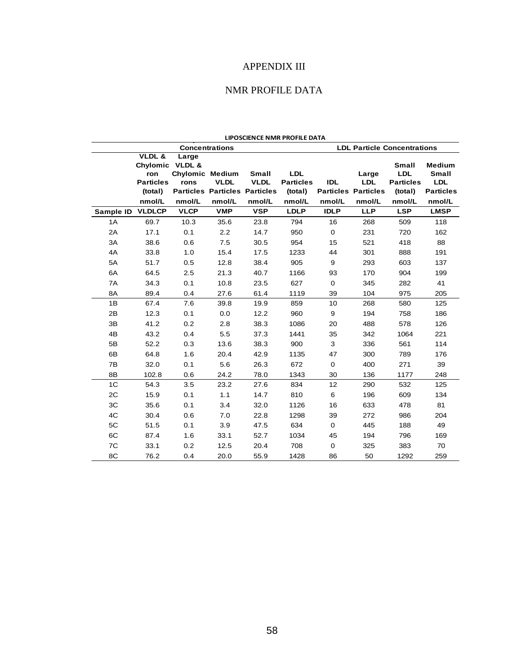# APPENDIX III

# NMR PROFILE DATA

|                | <b>LIPOSCIENCE NMR PROFILE DATA</b>                                       |                                                   |                                                               |                                       |                                                     |                      |                                                             |                                                                     |                                                                           |  |
|----------------|---------------------------------------------------------------------------|---------------------------------------------------|---------------------------------------------------------------|---------------------------------------|-----------------------------------------------------|----------------------|-------------------------------------------------------------|---------------------------------------------------------------------|---------------------------------------------------------------------------|--|
|                |                                                                           |                                                   | <b>Concentrations</b>                                         |                                       |                                                     |                      |                                                             | <b>LDL Particle Concentrations</b>                                  |                                                                           |  |
|                | VLDL &<br>Chylomic VLDL &<br>ron<br><b>Particles</b><br>(total)<br>nmol/L | Large<br><b>Chylomic Medium</b><br>rons<br>nmol/L | <b>VLDL</b><br><b>Particles Particles Particles</b><br>nmol/L | <b>Small</b><br><b>VLDL</b><br>nmol/L | <b>LDL</b><br><b>Particles</b><br>(total)<br>nmol/L | <b>IDL</b><br>nmol/L | Large<br><b>LDL</b><br><b>Particles Particles</b><br>nmol/L | <b>Small</b><br><b>LDL</b><br><b>Particles</b><br>(total)<br>nmol/L | <b>Medium</b><br><b>Small</b><br><b>LDL</b><br><b>Particles</b><br>nmol/L |  |
| Sample ID      | <b>VLDLCP</b>                                                             | <b>VLCP</b>                                       | <b>VMP</b>                                                    | <b>VSP</b>                            | <b>LDLP</b>                                         | <b>IDLP</b>          | <b>LLP</b>                                                  | <b>LSP</b>                                                          | <b>LMSP</b>                                                               |  |
| 1A             | 69.7                                                                      | 10.3                                              | 35.6                                                          | 23.8                                  | 794                                                 | 16                   | 268                                                         | 509                                                                 | 118                                                                       |  |
| 2A             | 17.1                                                                      | 0.1                                               | 2.2                                                           | 14.7                                  | 950                                                 | $\mathbf 0$          | 231                                                         | 720                                                                 | 162                                                                       |  |
| 3A             | 38.6                                                                      | 0.6                                               | 7.5                                                           | 30.5                                  | 954                                                 | 15                   | 521                                                         | 418                                                                 | 88                                                                        |  |
| 4A             | 33.8                                                                      | 1.0                                               | 15.4                                                          | 17.5                                  | 1233                                                | 44                   | 301                                                         | 888                                                                 | 191                                                                       |  |
| 5A             | 51.7                                                                      | 0.5                                               | 12.8                                                          | 38.4                                  | 905                                                 | 9                    | 293                                                         | 603                                                                 | 137                                                                       |  |
| 6A             | 64.5                                                                      | 2.5                                               | 21.3                                                          | 40.7                                  | 1166                                                | 93                   | 170                                                         | 904                                                                 | 199                                                                       |  |
| 7A             | 34.3                                                                      | 0.1                                               | 10.8                                                          | 23.5                                  | 627                                                 | $\mathbf 0$          | 345                                                         | 282                                                                 | 41                                                                        |  |
| 8A             | 89.4                                                                      | 0.4                                               | 27.6                                                          | 61.4                                  | 1119                                                | 39                   | 104                                                         | 975                                                                 | 205                                                                       |  |
| 1B             | 67.4                                                                      | 7.6                                               | 39.8                                                          | 19.9                                  | 859                                                 | 10                   | 268                                                         | 580                                                                 | 125                                                                       |  |
| 2B             | 12.3                                                                      | 0.1                                               | 0.0                                                           | 12.2                                  | 960                                                 | 9                    | 194                                                         | 758                                                                 | 186                                                                       |  |
| 3B             | 41.2                                                                      | 0.2                                               | 2.8                                                           | 38.3                                  | 1086                                                | 20                   | 488                                                         | 578                                                                 | 126                                                                       |  |
| 4B             | 43.2                                                                      | 0.4                                               | 5.5                                                           | 37.3                                  | 1441                                                | 35                   | 342                                                         | 1064                                                                | 221                                                                       |  |
| 5B             | 52.2                                                                      | 0.3                                               | 13.6                                                          | 38.3                                  | 900                                                 | 3                    | 336                                                         | 561                                                                 | 114                                                                       |  |
| 6B             | 64.8                                                                      | 1.6                                               | 20.4                                                          | 42.9                                  | 1135                                                | 47                   | 300                                                         | 789                                                                 | 176                                                                       |  |
| 7B             | 32.0                                                                      | 0.1                                               | 5.6                                                           | 26.3                                  | 672                                                 | $\mathbf 0$          | 400                                                         | 271                                                                 | 39                                                                        |  |
| 8B             | 102.8                                                                     | 0.6                                               | 24.2                                                          | 78.0                                  | 1343                                                | 30                   | 136                                                         | 1177                                                                | 248                                                                       |  |
| 1 <sup>C</sup> | 54.3                                                                      | 3.5                                               | 23.2                                                          | 27.6                                  | 834                                                 | 12                   | 290                                                         | 532                                                                 | 125                                                                       |  |
| 2C             | 15.9                                                                      | 0.1                                               | 1.1                                                           | 14.7                                  | 810                                                 | 6                    | 196                                                         | 609                                                                 | 134                                                                       |  |
| 3C             | 35.6                                                                      | 0.1                                               | 3.4                                                           | 32.0                                  | 1126                                                | 16                   | 633                                                         | 478                                                                 | 81                                                                        |  |
| 4C             | 30.4                                                                      | 0.6                                               | 7.0                                                           | 22.8                                  | 1298                                                | 39                   | 272                                                         | 986                                                                 | 204                                                                       |  |
| 5C             | 51.5                                                                      | 0.1                                               | 3.9                                                           | 47.5                                  | 634                                                 | $\mathbf 0$          | 445                                                         | 188                                                                 | 49                                                                        |  |
| 6C             | 87.4                                                                      | 1.6                                               | 33.1                                                          | 52.7                                  | 1034                                                | 45                   | 194                                                         | 796                                                                 | 169                                                                       |  |
| 7C             | 33.1                                                                      | 0.2                                               | 12.5                                                          | 20.4                                  | 708                                                 | $\mathbf 0$          | 325                                                         | 383                                                                 | 70                                                                        |  |
| 8C             | 76.2                                                                      | 0.4                                               | 20.0                                                          | 55.9                                  | 1428                                                | 86                   | 50                                                          | 1292                                                                | 259                                                                       |  |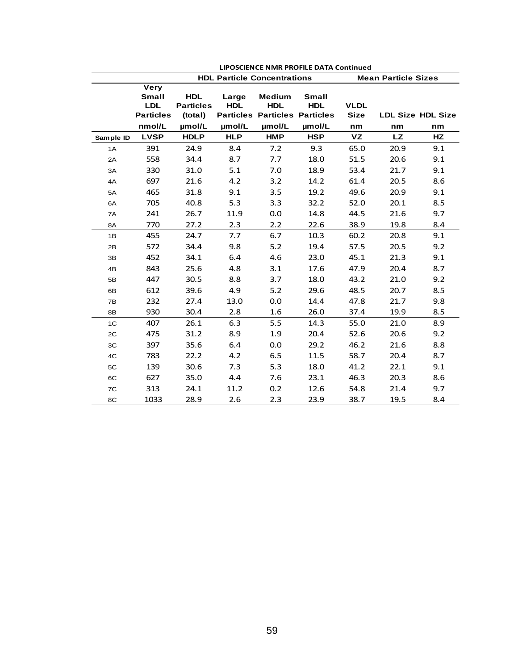|                | <b>LIPOSCIENCE NMR PROFILE DATA Continued</b>                 |                                           |                     |                                                                     |                            |                            |           |                          |  |
|----------------|---------------------------------------------------------------|-------------------------------------------|---------------------|---------------------------------------------------------------------|----------------------------|----------------------------|-----------|--------------------------|--|
|                |                                                               |                                           |                     | <b>HDL Particle Concentrations</b>                                  |                            | <b>Mean Particle Sizes</b> |           |                          |  |
|                | <b>Very</b><br><b>Small</b><br><b>LDL</b><br><b>Particles</b> | <b>HDL</b><br><b>Particles</b><br>(total) | Large<br><b>HDL</b> | <b>Medium</b><br><b>HDL</b><br><b>Particles Particles Particles</b> | <b>Small</b><br><b>HDL</b> | <b>VLDL</b><br><b>Size</b> |           | <b>LDL Size HDL Size</b> |  |
|                | nmol/L                                                        | µmol/L                                    | µmol/L              | µmol/L                                                              | umol/L                     | nm                         | nm        | nm                       |  |
| Sample ID      | <b>LVSP</b>                                                   | <b>HDLP</b>                               | <b>HLP</b>          | <b>HMP</b>                                                          | <b>HSP</b>                 | VZ                         | <b>LZ</b> | HZ                       |  |
| 1A             | 391                                                           | 24.9                                      | 8.4                 | 7.2                                                                 | 9.3                        | 65.0                       | 20.9      | 9.1                      |  |
| 2A             | 558                                                           | 34.4                                      | 8.7                 | 7.7                                                                 | 18.0                       | 51.5                       | 20.6      | 9.1                      |  |
| 3A             | 330                                                           | 31.0                                      | 5.1                 | 7.0                                                                 | 18.9                       | 53.4                       | 21.7      | 9.1                      |  |
| 4A             | 697                                                           | 21.6                                      | 4.2                 | 3.2                                                                 | 14.2                       | 61.4                       | 20.5      | 8.6                      |  |
| 5A             | 465                                                           | 31.8                                      | 9.1                 | 3.5                                                                 | 19.2                       | 49.6                       | 20.9      | 9.1                      |  |
| 6A             | 705                                                           | 40.8                                      | 5.3                 | 3.3                                                                 | 32.2                       | 52.0                       | 20.1      | 8.5                      |  |
| 7A             | 241                                                           | 26.7                                      | 11.9                | 0.0                                                                 | 14.8                       | 44.5                       | 21.6      | 9.7                      |  |
| 8A             | 770                                                           | 27.2                                      | 2.3                 | 2.2                                                                 | 22.6                       | 38.9                       | 19.8      | 8.4                      |  |
| 1B             | 455                                                           | 24.7                                      | 7.7                 | 6.7                                                                 | 10.3                       | 60.2                       | 20.8      | 9.1                      |  |
| 2B             | 572                                                           | 34.4                                      | 9.8                 | 5.2                                                                 | 19.4                       | 57.5                       | 20.5      | 9.2                      |  |
| 3B             | 452                                                           | 34.1                                      | 6.4                 | 4.6                                                                 | 23.0                       | 45.1                       | 21.3      | 9.1                      |  |
| 4B             | 843                                                           | 25.6                                      | 4.8                 | 3.1                                                                 | 17.6                       | 47.9                       | 20.4      | 8.7                      |  |
| 5B             | 447                                                           | 30.5                                      | 8.8                 | 3.7                                                                 | 18.0                       | 43.2                       | 21.0      | 9.2                      |  |
| 6B             | 612                                                           | 39.6                                      | 4.9                 | 5.2                                                                 | 29.6                       | 48.5                       | 20.7      | 8.5                      |  |
| 7B             | 232                                                           | 27.4                                      | 13.0                | 0.0                                                                 | 14.4                       | 47.8                       | 21.7      | 9.8                      |  |
| 8B             | 930                                                           | 30.4                                      | 2.8                 | 1.6                                                                 | 26.0                       | 37.4                       | 19.9      | 8.5                      |  |
| 1 <sup>C</sup> | 407                                                           | 26.1                                      | 6.3                 | 5.5                                                                 | 14.3                       | 55.0                       | 21.0      | 8.9                      |  |
| 2C             | 475                                                           | 31.2                                      | 8.9                 | 1.9                                                                 | 20.4                       | 52.6                       | 20.6      | 9.2                      |  |
| 3C             | 397                                                           | 35.6                                      | 6.4                 | 0.0                                                                 | 29.2                       | 46.2                       | 21.6      | 8.8                      |  |
| 4C             | 783                                                           | 22.2                                      | 4.2                 | 6.5                                                                 | 11.5                       | 58.7                       | 20.4      | 8.7                      |  |
| 5C             | 139                                                           | 30.6                                      | 7.3                 | 5.3                                                                 | 18.0                       | 41.2                       | 22.1      | 9.1                      |  |
| 6C             | 627                                                           | 35.0                                      | 4.4                 | 7.6                                                                 | 23.1                       | 46.3                       | 20.3      | 8.6                      |  |
| 7C             | 313                                                           | 24.1                                      | 11.2                | 0.2                                                                 | 12.6                       | 54.8                       | 21.4      | 9.7                      |  |
| 8C             | 1033                                                          | 28.9                                      | 2.6                 | 2.3                                                                 | 23.9                       | 38.7                       | 19.5      | 8.4                      |  |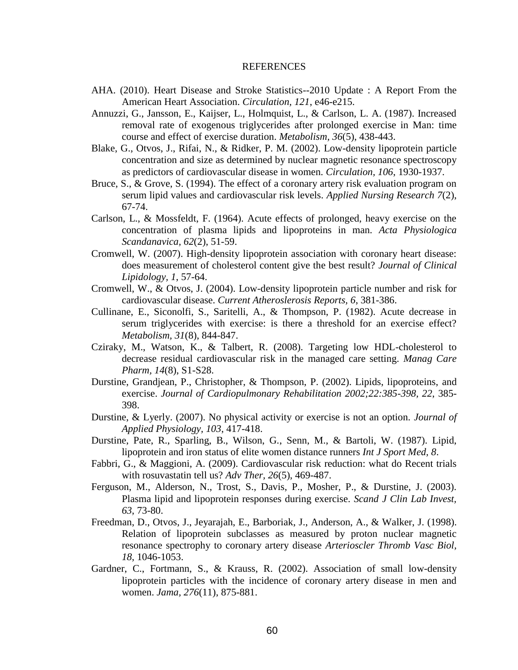#### REFERENCES

- AHA. (2010). Heart Disease and Stroke Statistics--2010 Update : A Report From the American Heart Association. *Circulation, 121*, e46-e215.
- Annuzzi, G., Jansson, E., Kaijser, L., Holmquist, L., & Carlson, L. A. (1987). Increased removal rate of exogenous triglycerides after prolonged exercise in Man: time course and effect of exercise duration. *Metabolism, 36*(5), 438-443.
- Blake, G., Otvos, J., Rifai, N., & Ridker, P. M. (2002). Low-density lipoprotein particle concentration and size as determined by nuclear magnetic resonance spectroscopy as predictors of cardiovascular disease in women. *Circulation, 106*, 1930-1937.
- Bruce, S., & Grove, S. (1994). The effect of a coronary artery risk evaluation program on serum lipid values and cardiovascular risk levels. *Applied Nursing Research 7*(2), 67-74.
- Carlson, L., & Mossfeldt, F. (1964). Acute effects of prolonged, heavy exercise on the concentration of plasma lipids and lipoproteins in man. *Acta Physiologica Scandanavica, 62*(2), 51-59.
- Cromwell, W. (2007). High-density lipoprotein association with coronary heart disease: does measurement of cholesterol content give the best result? *Journal of Clinical Lipidology, 1*, 57-64.
- Cromwell, W., & Otvos, J. (2004). Low-density lipoprotein particle number and risk for cardiovascular disease. *Current Atheroslerosis Reports, 6*, 381-386.
- Cullinane, E., Siconolfi, S., Saritelli, A., & Thompson, P. (1982). Acute decrease in serum triglycerides with exercise: is there a threshold for an exercise effect? *Metabolism, 31*(8), 844-847.
- Cziraky, M., Watson, K., & Talbert, R. (2008). Targeting low HDL-cholesterol to decrease residual cardiovascular risk in the managed care setting. *Manag Care Pharm, 14*(8), S1-S28.
- Durstine, Grandjean, P., Christopher, & Thompson, P. (2002). Lipids, lipoproteins, and exercise. *Journal of Cardiopulmonary Rehabilitation 2002;22:385-398, 22*, 385- 398.
- Durstine, & Lyerly. (2007). No physical activity or exercise is not an option. *Journal of Applied Physiology, 103*, 417-418.
- Durstine, Pate, R., Sparling, B., Wilson, G., Senn, M., & Bartoli, W. (1987). Lipid, lipoprotein and iron status of elite women distance runners *Int J Sport Med, 8*.
- Fabbri, G., & Maggioni, A. (2009). Cardiovascular risk reduction: what do Recent trials with rosuvastatin tell us? *Adv Ther, 26*(5), 469-487.
- Ferguson, M., Alderson, N., Trost, S., Davis, P., Mosher, P., & Durstine, J. (2003). Plasma lipid and lipoprotein responses during exercise. *Scand J Clin Lab Invest, 63*, 73-80.
- Freedman, D., Otvos, J., Jeyarajah, E., Barboriak, J., Anderson, A., & Walker, J. (1998). Relation of lipoprotein subclasses as measured by proton nuclear magnetic resonance spectrophy to coronary artery disease *Arterioscler Thromb Vasc Biol, 18*, 1046-1053.
- Gardner, C., Fortmann, S., & Krauss, R. (2002). Association of small low-density lipoprotein particles with the incidence of coronary artery disease in men and women. *Jama, 276*(11), 875-881.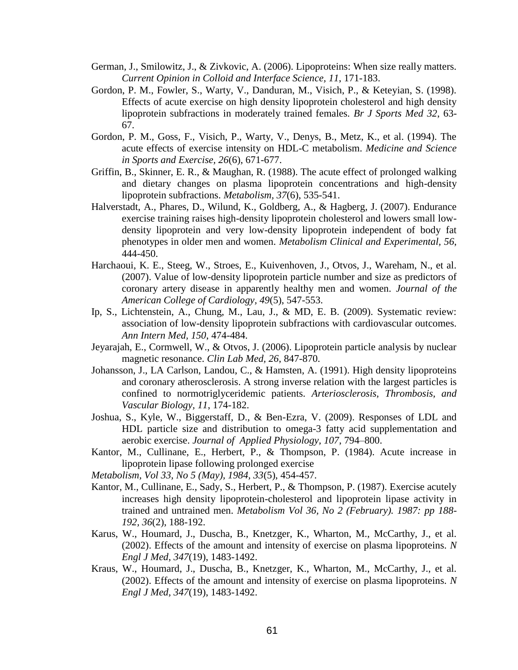- German, J., Smilowitz, J., & Zivkovic, A. (2006). Lipoproteins: When size really matters. *Current Opinion in Colloid and Interface Science, 11*, 171-183.
- Gordon, P. M., Fowler, S., Warty, V., Danduran, M., Visich, P., & Keteyian, S. (1998). Effects of acute exercise on high density lipoprotein cholesterol and high density lipoprotein subfractions in moderately trained females. *Br J Sports Med 32*, 63- 67.
- Gordon, P. M., Goss, F., Visich, P., Warty, V., Denys, B., Metz, K., et al. (1994). The acute effects of exercise intensity on HDL-C metabolism. *Medicine and Science in Sports and Exercise, 26*(6), 671-677.
- Griffin, B., Skinner, E. R., & Maughan, R. (1988). The acute effect of prolonged walking and dietary changes on plasma lipoprotein concentrations and high-density lipoprotein subfractions. *Metabolism, 37*(6), 535-541.
- Halverstadt, A., Phares, D., Wilund, K., Goldberg, A., & Hagberg, J. (2007). Endurance exercise training raises high-density lipoprotein cholesterol and lowers small lowdensity lipoprotein and very low-density lipoprotein independent of body fat phenotypes in older men and women. *Metabolism Clinical and Experimental, 56*, 444-450.
- Harchaoui, K. E., Steeg, W., Stroes, E., Kuivenhoven, J., Otvos, J., Wareham, N., et al. (2007). Value of low-density lipoprotein particle number and size as predictors of coronary artery disease in apparently healthy men and women. *Journal of the American College of Cardiology, 49*(5), 547-553.
- Ip, S., Lichtenstein, A., Chung, M., Lau, J., & MD, E. B. (2009). Systematic review: association of low-density lipoprotein subfractions with cardiovascular outcomes. *Ann Intern Med, 150*, 474-484.
- Jeyarajah, E., Cormwell, W., & Otvos, J. (2006). Lipoprotein particle analysis by nuclear magnetic resonance. *Clin Lab Med, 26*, 847-870.
- Johansson, J., LA Carlson, Landou, C., & Hamsten, A. (1991). High density lipoproteins and coronary atherosclerosis. A strong inverse relation with the largest particles is confined to normotriglyceridemic patients. *Arteriosclerosis, Thrombosis, and Vascular Biology, 11*, 174-182.
- Joshua, S., Kyle, W., Biggerstaff, D., & Ben-Ezra, V. (2009). Responses of LDL and HDL particle size and distribution to omega-3 fatty acid supplementation and aerobic exercise. *Journal of Applied Physiology, 107*, 794–800.
- Kantor, M., Cullinane, E., Herbert, P., & Thompson, P. (1984). Acute increase in lipoprotein lipase following prolonged exercise
- *Metabolism, Vol 33, No 5 (May), 1984, 33*(5), 454-457.
- Kantor, M., Cullinane, E., Sady, S., Herbert, P., & Thompson, P. (1987). Exercise acutely increases high density lipoprotein-cholesterol and lipoprotein lipase activity in trained and untrained men. *Metabolism Vol 36, No 2 (February). 1987: pp 188- 192, 36*(2), 188-192.
- Karus, W., Houmard, J., Duscha, B., Knetzger, K., Wharton, M., McCarthy, J., et al. (2002). Effects of the amount and intensity of exercise on plasma lipoproteins. *N Engl J Med, 347*(19), 1483-1492.
- Kraus, W., Houmard, J., Duscha, B., Knetzger, K., Wharton, M., McCarthy, J., et al. (2002). Effects of the amount and intensity of exercise on plasma lipoproteins. *N Engl J Med, 347*(19), 1483-1492.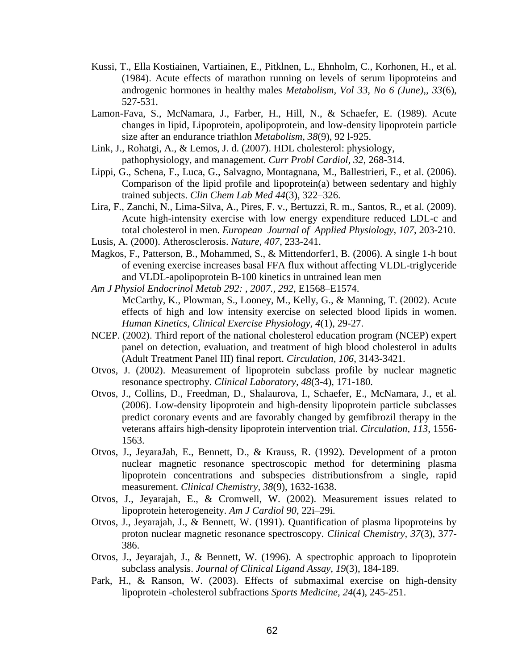- Kussi, T., Ella Kostiainen, Vartiainen, E., Pitklnen, L., Ehnholm, C., Korhonen, H., et al. (1984). Acute effects of marathon running on levels of serum lipoproteins and androgenic hormones in healthy males *Metabolism, Vol 33, No 6 (June),, 33*(6), 527-531.
- Lamon-Fava, S., McNamara, J., Farber, H., Hill, N., & Schaefer, E. (1989). Acute changes in lipid, Lipoprotein, apolipoprotein, and low-density lipoprotein particle size after an endurance triathlon *Metabolism, 38*(9), 92 l-925.
- Link, J., Rohatgi, A., & Lemos, J. d. (2007). HDL cholesterol: physiology, pathophysiology, and management. *Curr Probl Cardiol, 32*, 268-314.
- Lippi, G., Schena, F., Luca, G., Salvagno, Montagnana, M., Ballestrieri, F., et al. (2006). Comparison of the lipid profile and lipoprotein(a) between sedentary and highly trained subjects. *Clin Chem Lab Med 44*(3), 322–326.
- Lira, F., Zanchi, N., Lima-Silva, A., Pires, F. v., Bertuzzi, R. m., Santos, R., et al. (2009). Acute high-intensity exercise with low energy expenditure reduced LDL-c and total cholesterol in men. *European Journal of Applied Physiology, 107*, 203-210.
- Lusis, A. (2000). Atherosclerosis. *Nature, 407*, 233-241.
- Magkos, F., Patterson, B., Mohammed, S., & Mittendorfer1, B. (2006). A single 1-h bout of evening exercise increases basal FFA flux without affecting VLDL-triglyceride and VLDL-apolipoprotein B-100 kinetics in untrained lean men
- *Am J Physiol Endocrinol Metab 292: , 2007., 292*, E1568–E1574. McCarthy, K., Plowman, S., Looney, M., Kelly, G., & Manning, T. (2002). Acute effects of high and low intensity exercise on selected blood lipids in women.
	- *Human Kinetics, Clinical Exercise Physiology, 4*(1), 29-27.
- NCEP. (2002). Third report of the national cholesterol education program (NCEP) expert panel on detection, evaluation, and treatment of high blood cholesterol in adults (Adult Treatment Panel III) final report. *Circulation, 106*, 3143-3421.
- Otvos, J. (2002). Measurement of lipoprotein subclass profile by nuclear magnetic resonance spectrophy. *Clinical Laboratory, 48*(3-4), 171-180.
- Otvos, J., Collins, D., Freedman, D., Shalaurova, I., Schaefer, E., McNamara, J., et al. (2006). Low-density lipoprotein and high-density lipoprotein particle subclasses predict coronary events and are favorably changed by gemfibrozil therapy in the veterans affairs high-density lipoprotein intervention trial. *Circulation, 113*, 1556- 1563.
- Otvos, J., JeyaraJah, E., Bennett, D., & Krauss, R. (1992). Development of a proton nuclear magnetic resonance spectroscopic method for determining plasma lipoprotein concentrations and subspecies distributionsfrom a single, rapid measurement. *Clinical Chemistry, 38*(9), 1632-1638.
- Otvos, J., Jeyarajah, E., & Cromwell, W. (2002). Measurement issues related to lipoprotein heterogeneity. *Am J Cardiol 90*, 22i–29i.
- Otvos, J., Jeyarajah, J., & Bennett, W. (1991). Quantification of plasma lipoproteins by proton nuclear magnetic resonance spectroscopy. *Clinical Chemistry, 37*(3), 377- 386.
- Otvos, J., Jeyarajah, J., & Bennett, W. (1996). A spectrophic approach to lipoprotein subclass analysis. *Journal of Clinical Ligand Assay, 19*(3), 184-189.
- Park, H., & Ranson, W. (2003). Effects of submaximal exercise on high-density lipoprotein -cholesterol subfractions *Sports Medicine, 24*(4), 245-251.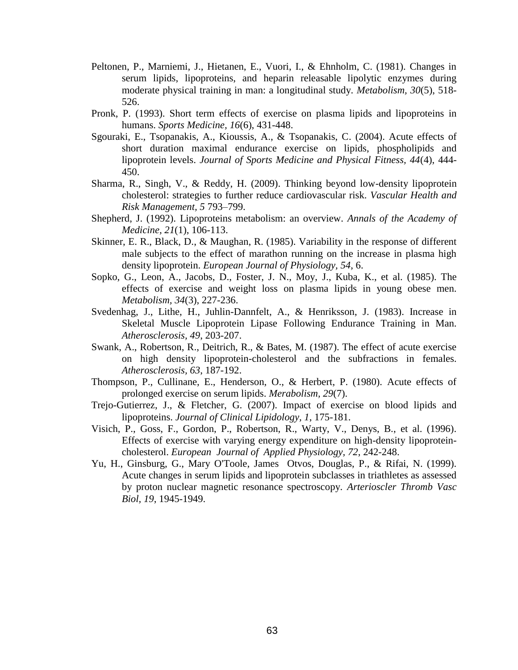- Peltonen, P., Marniemi, J., Hietanen, E., Vuori, I., & Ehnholm, C. (1981). Changes in serum lipids, lipoproteins, and heparin releasable lipolytic enzymes during moderate physical training in man: a longitudinal study. *Metabolism, 30*(5), 518- 526.
- Pronk, P. (1993). Short term effects of exercise on plasma lipids and lipoproteins in humans. *Sports Medicine, 16*(6), 431-448.
- Sgouraki, E., Tsopanakis, A., Kioussis, A., & Tsopanakis, C. (2004). Acute effects of short duration maximal endurance exercise on lipids, phospholipids and lipoprotein levels. *Journal of Sports Medicine and Physical Fitness, 44*(4), 444- 450.
- Sharma, R., Singh, V., & Reddy, H. (2009). Thinking beyond low-density lipoprotein cholesterol: strategies to further reduce cardiovascular risk. *Vascular Health and Risk Management, 5* 793–799.
- Shepherd, J. (1992). Lipoproteins metabolism: an overview. *Annals of the Academy of Medicine, 21*(1), 106-113.
- Skinner, E. R., Black, D., & Maughan, R. (1985). Variability in the response of different male subjects to the effect of marathon running on the increase in plasma high density lipoprotein. *European Journal of Physiology, 54*, 6.
- Sopko, G., Leon, A., Jacobs, D., Foster, J. N., Moy, J., Kuba, K., et al. (1985). The effects of exercise and weight loss on plasma lipids in young obese men. *Metabolism, 34*(3), 227-236.
- Svedenhag, J., Lithe, H., Juhlin-Dannfelt, A., & Henriksson, J. (1983). Increase in Skeletal Muscle Lipoprotein Lipase Following Endurance Training in Man. *Atherosclerosis, 49*, 203-207.
- Swank, A., Robertson, R., Deitrich, R., & Bates, M. (1987). The effect of acute exercise on high density lipoprotein-cholesterol and the subfractions in females. *Atherosclerosis, 63*, 187-192.
- Thompson, P., Cullinane, E., Henderson, O., & Herbert, P. (1980). Acute effects of prolonged exercise on serum lipids. *Merabolism, 29*(7).
- Trejo-Gutierrez, J., & Fletcher, G. (2007). Impact of exercise on blood lipids and lipoproteins. *Journal of Clinical Lipidology, 1*, 175-181.
- Visich, P., Goss, F., Gordon, P., Robertson, R., Warty, V., Denys, B., et al. (1996). Effects of exercise with varying energy expenditure on high-density lipoproteincholesterol. *European Journal of Applied Physiology, 72*, 242-248.
- Yu, H., Ginsburg, G., Mary O'Toole, James Otvos, Douglas, P., & Rifai, N. (1999). Acute changes in serum lipids and lipoprotein subclasses in triathletes as assessed by proton nuclear magnetic resonance spectroscopy. *Arterioscler Thromb Vasc Biol, 19*, 1945-1949.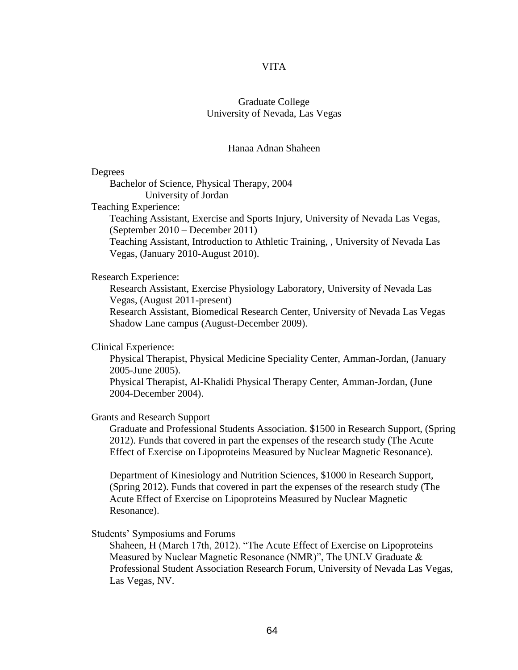## VITA

# Graduate College University of Nevada, Las Vegas

#### Hanaa Adnan Shaheen

### Degrees

Bachelor of Science, Physical Therapy, 2004 University of Jordan

Teaching Experience:

Teaching Assistant, Exercise and Sports Injury, University of Nevada Las Vegas, (September 2010 – December 2011)

Teaching Assistant, Introduction to Athletic Training, , University of Nevada Las Vegas, (January 2010-August 2010).

Research Experience:

Research Assistant, Exercise Physiology Laboratory, University of Nevada Las Vegas, (August 2011-present)

Research Assistant, Biomedical Research Center, University of Nevada Las Vegas Shadow Lane campus (August-December 2009).

Clinical Experience:

Physical Therapist, Physical Medicine Speciality Center, Amman-Jordan, (January 2005-June 2005).

Physical Therapist, Al-Khalidi Physical Therapy Center, Amman-Jordan, (June 2004-December 2004).

Grants and Research Support

Graduate and Professional Students Association. \$1500 in Research Support, (Spring 2012). Funds that covered in part the expenses of the research study (The Acute Effect of Exercise on Lipoproteins Measured by Nuclear Magnetic Resonance).

Department of Kinesiology and Nutrition Sciences, \$1000 in Research Support, (Spring 2012). Funds that covered in part the expenses of the research study (The Acute Effect of Exercise on Lipoproteins Measured by Nuclear Magnetic Resonance).

Students' Symposiums and Forums

Shaheen, H (March 17th, 2012). "The Acute Effect of Exercise on Lipoproteins Measured by Nuclear Magnetic Resonance (NMR)", The UNLV Graduate & Professional Student Association Research Forum, University of Nevada Las Vegas, Las Vegas, NV.